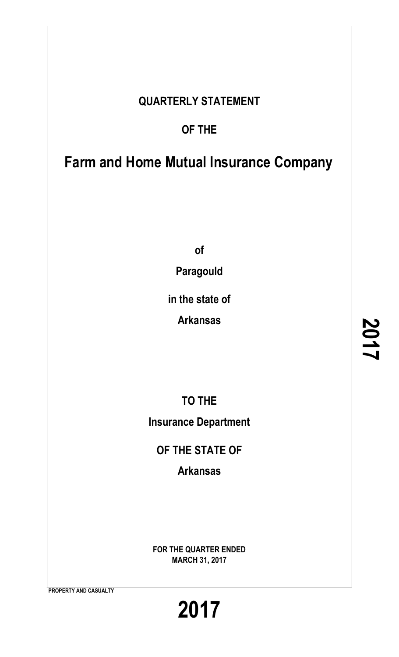# **QUARTERLY STATEMENT**

# **OF THE**

# **Farm and Home Mutual Insurance Company**

**of**

**Paragould**

**in the state of**

**Arkansas**

**TO THE Insurance Department**

**OF THE STATE OF**

**Arkansas**

**FOR THE QUARTER ENDED MARCH 31, 2017**

**PROPERTY AND CASUALTY**

**2017**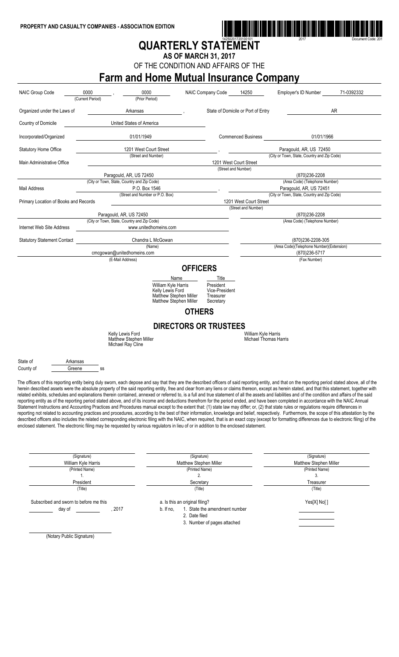

# **QUARTERLY STATEMENT**

**AS OF MARCH 31, 2017**

OF THE CONDITION AND AFFAIRS OF THE

# **Farm and Home Mutual Insurance Company**

| <b>NAIC Group Code</b>                | 0000<br>(Current Period) | 0000<br>(Prior Period)                                                                                                                                                                                                                                                                                                                                                                                                                                                                                                                                                                                                                                                                                                                                                                                                                                                                                                                                                                                                                                                                                                                                                                                                                                                                                                                                                                                                                                                                                                                                     |                 | NAIC Company Code                                     | 14250                                        | <b>Employer's ID Number</b>                                | 71-0392332 |
|---------------------------------------|--------------------------|------------------------------------------------------------------------------------------------------------------------------------------------------------------------------------------------------------------------------------------------------------------------------------------------------------------------------------------------------------------------------------------------------------------------------------------------------------------------------------------------------------------------------------------------------------------------------------------------------------------------------------------------------------------------------------------------------------------------------------------------------------------------------------------------------------------------------------------------------------------------------------------------------------------------------------------------------------------------------------------------------------------------------------------------------------------------------------------------------------------------------------------------------------------------------------------------------------------------------------------------------------------------------------------------------------------------------------------------------------------------------------------------------------------------------------------------------------------------------------------------------------------------------------------------------------|-----------------|-------------------------------------------------------|----------------------------------------------|------------------------------------------------------------|------------|
| Organized under the Laws of           |                          | Arkansas                                                                                                                                                                                                                                                                                                                                                                                                                                                                                                                                                                                                                                                                                                                                                                                                                                                                                                                                                                                                                                                                                                                                                                                                                                                                                                                                                                                                                                                                                                                                                   |                 |                                                       | State of Domicile or Port of Entry           |                                                            | AR         |
| Country of Domicile                   |                          | United States of America                                                                                                                                                                                                                                                                                                                                                                                                                                                                                                                                                                                                                                                                                                                                                                                                                                                                                                                                                                                                                                                                                                                                                                                                                                                                                                                                                                                                                                                                                                                                   |                 |                                                       |                                              |                                                            |            |
| Incorporated/Organized                |                          | 01/01/1949                                                                                                                                                                                                                                                                                                                                                                                                                                                                                                                                                                                                                                                                                                                                                                                                                                                                                                                                                                                                                                                                                                                                                                                                                                                                                                                                                                                                                                                                                                                                                 |                 |                                                       | <b>Commenced Business</b>                    | 01/01/1966                                                 |            |
| <b>Statutory Home Office</b>          |                          | 1201 West Court Street                                                                                                                                                                                                                                                                                                                                                                                                                                                                                                                                                                                                                                                                                                                                                                                                                                                                                                                                                                                                                                                                                                                                                                                                                                                                                                                                                                                                                                                                                                                                     |                 |                                                       |                                              | Paragould, AR, US 72450                                    |            |
| Main Administrative Office            |                          | (Street and Number)                                                                                                                                                                                                                                                                                                                                                                                                                                                                                                                                                                                                                                                                                                                                                                                                                                                                                                                                                                                                                                                                                                                                                                                                                                                                                                                                                                                                                                                                                                                                        |                 |                                                       | 1201 West Court Street                       | (City or Town, State, Country and Zip Code)                |            |
|                                       |                          | Paragould, AR, US 72450                                                                                                                                                                                                                                                                                                                                                                                                                                                                                                                                                                                                                                                                                                                                                                                                                                                                                                                                                                                                                                                                                                                                                                                                                                                                                                                                                                                                                                                                                                                                    |                 |                                                       | (Street and Number)                          | (870)236-2208                                              |            |
|                                       |                          | (City or Town, State, Country and Zip Code)                                                                                                                                                                                                                                                                                                                                                                                                                                                                                                                                                                                                                                                                                                                                                                                                                                                                                                                                                                                                                                                                                                                                                                                                                                                                                                                                                                                                                                                                                                                |                 |                                                       |                                              | (Area Code) (Telephone Number)                             |            |
| Mail Address                          |                          | P.O. Box 1546                                                                                                                                                                                                                                                                                                                                                                                                                                                                                                                                                                                                                                                                                                                                                                                                                                                                                                                                                                                                                                                                                                                                                                                                                                                                                                                                                                                                                                                                                                                                              |                 |                                                       |                                              | Paragould, AR, US 72451                                    |            |
|                                       |                          | (Street and Number or P.O. Box)                                                                                                                                                                                                                                                                                                                                                                                                                                                                                                                                                                                                                                                                                                                                                                                                                                                                                                                                                                                                                                                                                                                                                                                                                                                                                                                                                                                                                                                                                                                            |                 |                                                       |                                              | (City or Town, State, Country and Zip Code)                |            |
| Primary Location of Books and Records |                          |                                                                                                                                                                                                                                                                                                                                                                                                                                                                                                                                                                                                                                                                                                                                                                                                                                                                                                                                                                                                                                                                                                                                                                                                                                                                                                                                                                                                                                                                                                                                                            |                 |                                                       | 1201 West Court Street                       |                                                            |            |
|                                       |                          |                                                                                                                                                                                                                                                                                                                                                                                                                                                                                                                                                                                                                                                                                                                                                                                                                                                                                                                                                                                                                                                                                                                                                                                                                                                                                                                                                                                                                                                                                                                                                            |                 |                                                       | (Street and Number)                          |                                                            |            |
|                                       |                          | Paragould, AR, US 72450                                                                                                                                                                                                                                                                                                                                                                                                                                                                                                                                                                                                                                                                                                                                                                                                                                                                                                                                                                                                                                                                                                                                                                                                                                                                                                                                                                                                                                                                                                                                    |                 |                                                       |                                              | (870)236-2208                                              |            |
|                                       |                          | (City or Town, State, Country and Zip Code)                                                                                                                                                                                                                                                                                                                                                                                                                                                                                                                                                                                                                                                                                                                                                                                                                                                                                                                                                                                                                                                                                                                                                                                                                                                                                                                                                                                                                                                                                                                |                 |                                                       |                                              | (Area Code) (Telephone Number)                             |            |
| Internet Web Site Address             |                          | www.unitedhomeins.com                                                                                                                                                                                                                                                                                                                                                                                                                                                                                                                                                                                                                                                                                                                                                                                                                                                                                                                                                                                                                                                                                                                                                                                                                                                                                                                                                                                                                                                                                                                                      |                 |                                                       |                                              |                                                            |            |
| <b>Statutory Statement Contact</b>    |                          | Chandra L McGowan                                                                                                                                                                                                                                                                                                                                                                                                                                                                                                                                                                                                                                                                                                                                                                                                                                                                                                                                                                                                                                                                                                                                                                                                                                                                                                                                                                                                                                                                                                                                          |                 |                                                       |                                              | (870) 236-2208-305                                         |            |
|                                       |                          | (Name)<br>cmcgowan@unitedhomeins.com                                                                                                                                                                                                                                                                                                                                                                                                                                                                                                                                                                                                                                                                                                                                                                                                                                                                                                                                                                                                                                                                                                                                                                                                                                                                                                                                                                                                                                                                                                                       |                 |                                                       |                                              | (Area Code)(Telephone Number)(Extension)<br>(870) 236-5717 |            |
|                                       |                          | (E-Mail Address)                                                                                                                                                                                                                                                                                                                                                                                                                                                                                                                                                                                                                                                                                                                                                                                                                                                                                                                                                                                                                                                                                                                                                                                                                                                                                                                                                                                                                                                                                                                                           |                 |                                                       |                                              | (Fax Number)                                               |            |
|                                       |                          |                                                                                                                                                                                                                                                                                                                                                                                                                                                                                                                                                                                                                                                                                                                                                                                                                                                                                                                                                                                                                                                                                                                                                                                                                                                                                                                                                                                                                                                                                                                                                            | <b>OFFICERS</b> |                                                       |                                              |                                                            |            |
|                                       |                          |                                                                                                                                                                                                                                                                                                                                                                                                                                                                                                                                                                                                                                                                                                                                                                                                                                                                                                                                                                                                                                                                                                                                                                                                                                                                                                                                                                                                                                                                                                                                                            |                 |                                                       |                                              |                                                            |            |
|                                       |                          | Name                                                                                                                                                                                                                                                                                                                                                                                                                                                                                                                                                                                                                                                                                                                                                                                                                                                                                                                                                                                                                                                                                                                                                                                                                                                                                                                                                                                                                                                                                                                                                       |                 | Title                                                 |                                              |                                                            |            |
|                                       |                          | William Kyle Harris<br>Kelly Lewis Ford<br>Matthew Stephen Miller<br>Matthew Stephen Miller                                                                                                                                                                                                                                                                                                                                                                                                                                                                                                                                                                                                                                                                                                                                                                                                                                                                                                                                                                                                                                                                                                                                                                                                                                                                                                                                                                                                                                                                |                 | President<br>Vice-President<br>Treasurer<br>Secretary |                                              |                                                            |            |
|                                       |                          |                                                                                                                                                                                                                                                                                                                                                                                                                                                                                                                                                                                                                                                                                                                                                                                                                                                                                                                                                                                                                                                                                                                                                                                                                                                                                                                                                                                                                                                                                                                                                            | <b>OTHERS</b>   |                                                       |                                              |                                                            |            |
|                                       |                          |                                                                                                                                                                                                                                                                                                                                                                                                                                                                                                                                                                                                                                                                                                                                                                                                                                                                                                                                                                                                                                                                                                                                                                                                                                                                                                                                                                                                                                                                                                                                                            |                 | <b>DIRECTORS OR TRUSTEES</b>                          |                                              |                                                            |            |
|                                       |                          | Kelly Lewis Ford<br>Matthew Stephen Miller<br>Michael Ray Cline                                                                                                                                                                                                                                                                                                                                                                                                                                                                                                                                                                                                                                                                                                                                                                                                                                                                                                                                                                                                                                                                                                                                                                                                                                                                                                                                                                                                                                                                                            |                 |                                                       | William Kyle Harris<br>Michael Thomas Harris |                                                            |            |
| State of                              | Arkansas                 |                                                                                                                                                                                                                                                                                                                                                                                                                                                                                                                                                                                                                                                                                                                                                                                                                                                                                                                                                                                                                                                                                                                                                                                                                                                                                                                                                                                                                                                                                                                                                            |                 |                                                       |                                              |                                                            |            |
| County of                             | Greene<br>SS             |                                                                                                                                                                                                                                                                                                                                                                                                                                                                                                                                                                                                                                                                                                                                                                                                                                                                                                                                                                                                                                                                                                                                                                                                                                                                                                                                                                                                                                                                                                                                                            |                 |                                                       |                                              |                                                            |            |
|                                       |                          | The officers of this reporting entity being duly sworn, each depose and say that they are the described officers of said reporting entity, and that on the reporting period stated above, all of the<br>herein described assets were the absolute property of the said reporting entity, free and clear from any liens or claims thereon, except as herein stated, and that this statement, together with<br>related exhibits, schedules and explanations therein contained, annexed or referred to, is a full and true statement of all the assets and liabilities and of the condition and affairs of the said<br>reporting entity as of the reporting period stated above, and of its income and deductions therefrom for the period ended, and have been completed in accordance with the NAIC Annual<br>Statement Instructions and Accounting Practices and Procedures manual except to the extent that: (1) state law may differ; or, (2) that state rules or regulations require differences in<br>reporting not related to accounting practices and procedures, according to the best of their information, knowledge and belief, respectively. Furthermore, the scope of this attestation by the<br>described officers also includes the related corresponding electronic filing with the NAIC, when required, that is an exact copy (except for formatting differences due to electronic filing) of the<br>enclosed statement. The electronic filing may be requested by various regulators in lieu of or in addition to the enclosed statement. |                 |                                                       |                                              |                                                            |            |

| (Signature)                            |      |           | (Signature)                    | (Signature)            |
|----------------------------------------|------|-----------|--------------------------------|------------------------|
| William Kyle Harris                    |      |           | Matthew Stephen Miller         | Matthew Stephen Miller |
| (Printed Name)                         |      |           | (Printed Name)                 | (Printed Name)         |
|                                        |      |           |                                |                        |
| President                              |      |           | Secretary                      | Treasurer              |
| (Title)                                |      |           | (Title)                        | (Title)                |
| Subscribed and sworn to before me this |      |           | a. Is this an original filing? | Yes[X] No[]            |
| day of                                 | 2017 | b. If no, | 1. State the amendment number  |                        |
|                                        |      |           | 2. Date filed                  |                        |
|                                        |      |           | 3. Number of pages attached    |                        |
|                                        |      |           |                                |                        |
| _ _<br>$\cdots$                        |      |           |                                |                        |

(Notary Public Signature)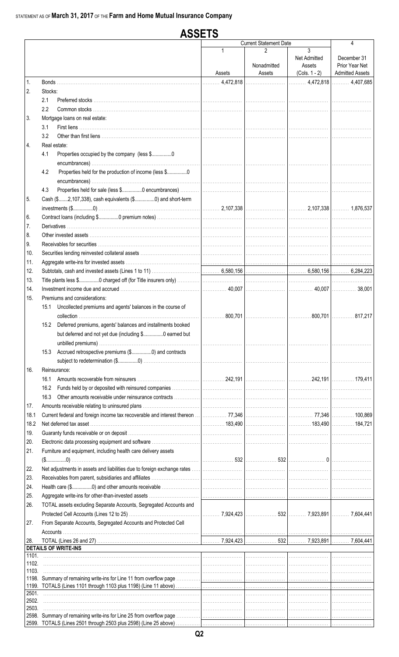#### **ASSETS Current Statement Date**  $\overline{\mathbf{A}}$  $\overline{3}$  $\mathfrak{p}$ Net Admitted December 31 Nonadmitted Prior Year Net Assets **Admitted Assets** Assets Assets  $(Cols. 1 - 2)$ 4,472,818  $\ldots$  4.407.685 4,472,818  $\mathbf{1}$ **Bonds**  $\overline{2}$ Stocks:  $21$ Preferred stocks  $2.2$ Common stocks ...................... 3. Mortgage loans on real estate:  $3.1$ First liens  $3.2$ Other than first liens .........................  $\overline{4}$ Real estate:  $4.1$ Properties occupied by the company (less \$.................0 42 Properties held for the production of income (less \$.................0  $4.3$ Properties held for sale (less \$.................0 encumbrances). Cash (\$.......2,107,338), cash equivalents (\$................0) and short-term 5. 2.107.338  $investments ($...............0)$ 2.107.338 6. Contract loans (including \$................0 premium notes)  $\overline{7}$ . Derivatives ... 8. Other invested assets ................... 9 Receivables for securities  $10<sup>1</sup>$ Securities lending reinvested collateral assets ......  $11$ Aggregate write-ins for invested assets ...  $12.$ Subtotals, cash and invested assets (Lines 1 to 11) 6,580,156 6,580,156 6,284,223 13. Title plants less \$................0 charged off (for Title insurers only) Investment income due and accrued .......................  $14.$ 40,007 40,007 38.001  $15<sub>1</sub>$ Premiums and considerations: 15.1 Uncollected premiums and agents' balances in the course of 800.701 800.701 collection 817.217 15.2 Deferred premiums, agents' balances and installments booked but deferred and not yet due (including \$................0 earned but 15.3 Accrued retrospective premiums (\$.................0) and contracts subject to redetermination (\$.................0) ................. 16. Reinsurance: 16.1 Amounts recoverable from reinsurers ...... 242.191 242.191 179.411 16.2 Funds held by or deposited with reinsured companies. 16.3 Other amounts receivable under reinsurance contracts ...  $17.$ Amounts receivable relating to uninsured plans. . . . . . . . . . . . . . . . . . .  $\ldots$  77.346 18.1 Current federal and foreign income tax recoverable and interest thereon. 77.346 100.869 18.2 Net deferred tax asset .......................  $183.490$ 183.490 184.721 19. Guaranty funds receivable or on deposit ....................... 20. Electronic data processing equipment and software. 21. Furniture and equipment, including health care delivery assets  $(\$............0)$ 532 532 22. Net adjustments in assets and liabilities due to foreign exchange rates. 23. Receivables from parent, subsidiaries and affiliates 24. Health care (\$..................) and other amounts receivable 25. Aggregate write-ins for other-than-invested assets ....... 26. TOTAL assets excluding Separate Accounts, Segregated Accounts and 7,924,423 532 7,923,891 7,604,441 27. From Separate Accounts, Segregated Accounts and Protected Cell Accounts... TOTAL (Lines 26 and 27) 28 7,924,423 532 7,923,891 7,604,441 **DETAILS OF WRITE-INS** 1101. 1102. 1103. 1198. Summary of remaining write-ins for Line 11 from overflow page 1199. TOTALS (Lines 1101 through 1103 plus 1198) (Line 11 above)  $2501.$ 2502. 2503. 2598. Summary of remaining write-ins for Line 25 from overflow page 2599. TOTALS (Lines 2501 through 2503 plus 2598) (Line 25 above)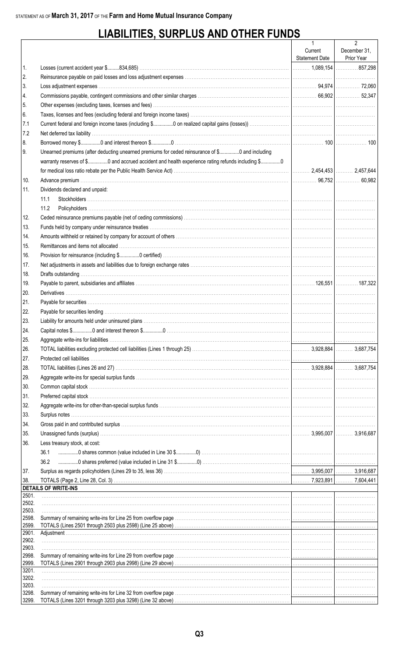# **LIABILITIES, SURPLUS AND OTHER FUNDS**

|                |                                                                                                  | $\mathbf{1}$          | $\overline{2}$ |
|----------------|--------------------------------------------------------------------------------------------------|-----------------------|----------------|
|                |                                                                                                  | Current               | December 31,   |
|                |                                                                                                  | <b>Statement Date</b> | Prior Year     |
| 1.             |                                                                                                  |                       |                |
| 2.             |                                                                                                  |                       |                |
| 3.             |                                                                                                  |                       |                |
| 4.             |                                                                                                  |                       |                |
| 5.             |                                                                                                  |                       |                |
| 6.             |                                                                                                  |                       |                |
| 7.1            |                                                                                                  |                       |                |
| 7.2            |                                                                                                  |                       |                |
| 8.             |                                                                                                  |                       |                |
| 9.             | Unearned premiums (after deducting unearned premiums for ceded reinsurance of \$0 and including  |                       |                |
|                | warranty reserves of \$0 and accrued accident and health experience rating refunds including \$0 |                       |                |
|                |                                                                                                  |                       |                |
| 10.            |                                                                                                  |                       |                |
| 11.            | Dividends declared and unpaid:                                                                   |                       |                |
|                | 11.1                                                                                             |                       |                |
|                | 11.2                                                                                             |                       |                |
| 12.            |                                                                                                  |                       |                |
| 13.            |                                                                                                  |                       |                |
| 14.            |                                                                                                  |                       |                |
| 15.            |                                                                                                  |                       |                |
| 16.            |                                                                                                  |                       |                |
| 17.            |                                                                                                  |                       |                |
|                |                                                                                                  |                       |                |
| 18.            |                                                                                                  |                       |                |
| 19.            |                                                                                                  |                       |                |
| 20.            |                                                                                                  |                       |                |
| 21.            |                                                                                                  |                       |                |
| 22.            |                                                                                                  |                       |                |
| 23.            |                                                                                                  |                       |                |
| 24.            |                                                                                                  |                       |                |
| 25.            |                                                                                                  |                       |                |
| 26.            |                                                                                                  |                       |                |
| 27.            |                                                                                                  |                       |                |
| 28.            |                                                                                                  |                       |                |
| 29.            |                                                                                                  |                       |                |
| 30.            |                                                                                                  |                       |                |
| 31.            |                                                                                                  |                       |                |
| 32.            |                                                                                                  |                       |                |
| 33.            |                                                                                                  |                       |                |
| 34.            |                                                                                                  |                       |                |
| 35.            |                                                                                                  |                       |                |
| 36.            | Less treasury stock, at cost:                                                                    |                       |                |
|                | 36.1                                                                                             |                       |                |
|                | 36.2                                                                                             |                       |                |
| 37.            |                                                                                                  |                       |                |
| 38.            |                                                                                                  |                       |                |
|                | <b>DETAILS OF WRITE-INS</b>                                                                      |                       |                |
| 2501.          |                                                                                                  |                       |                |
| 2502.          |                                                                                                  |                       |                |
| 2503.<br>2598. |                                                                                                  |                       |                |
| 2599.          |                                                                                                  |                       |                |
| 2901.          |                                                                                                  |                       |                |
| 2902.          |                                                                                                  |                       |                |
| 2903.          |                                                                                                  |                       |                |
| 2998.<br>2999. |                                                                                                  |                       |                |
| 3201.          |                                                                                                  |                       |                |
| 3202.          |                                                                                                  |                       |                |
| 3203.          |                                                                                                  |                       |                |
| 3298.          |                                                                                                  |                       |                |
| 3299.          |                                                                                                  |                       |                |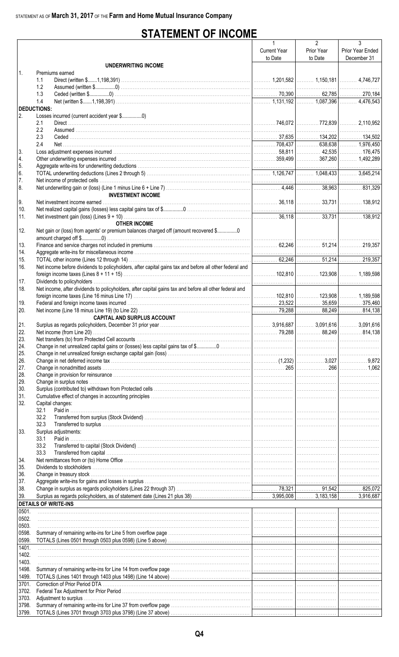# **STATEMENT OF INCOME**

|                    |                                                                                                                                                                                                                                | $\mathbf{1}$        | $\overline{2}$ | 3                |
|--------------------|--------------------------------------------------------------------------------------------------------------------------------------------------------------------------------------------------------------------------------|---------------------|----------------|------------------|
|                    |                                                                                                                                                                                                                                | <b>Current Year</b> | Prior Year     | Prior Year Ended |
|                    |                                                                                                                                                                                                                                | to Date             | to Date        | December 31      |
|                    | <b>UNDERWRITING INCOME</b>                                                                                                                                                                                                     |                     |                |                  |
| $\mathbf{1}$       | Premiums earned                                                                                                                                                                                                                |                     |                |                  |
|                    | 1.1                                                                                                                                                                                                                            |                     |                |                  |
|                    | 1.2                                                                                                                                                                                                                            |                     |                |                  |
|                    | 1.3                                                                                                                                                                                                                            |                     |                |                  |
|                    | 1.4                                                                                                                                                                                                                            |                     |                |                  |
| <b>DEDUCTIONS:</b> |                                                                                                                                                                                                                                |                     |                |                  |
| 2.                 |                                                                                                                                                                                                                                |                     |                |                  |
|                    | 2.1                                                                                                                                                                                                                            |                     |                |                  |
|                    | 2.2                                                                                                                                                                                                                            |                     |                |                  |
|                    | 2.3                                                                                                                                                                                                                            |                     |                |                  |
|                    | 2.4                                                                                                                                                                                                                            |                     |                |                  |
| 3.                 |                                                                                                                                                                                                                                |                     |                |                  |
| 4.                 |                                                                                                                                                                                                                                |                     |                |                  |
| 5.                 |                                                                                                                                                                                                                                |                     |                |                  |
| 6.                 |                                                                                                                                                                                                                                |                     |                |                  |
| 7.                 |                                                                                                                                                                                                                                |                     |                |                  |
| 8.                 |                                                                                                                                                                                                                                |                     |                |                  |
|                    | <b>INVESTMENT INCOME</b>                                                                                                                                                                                                       |                     |                |                  |
| 9.                 |                                                                                                                                                                                                                                |                     |                |                  |
| 10.                |                                                                                                                                                                                                                                |                     |                |                  |
| 11.                |                                                                                                                                                                                                                                |                     |                |                  |
|                    | <b>OTHER INCOME</b>                                                                                                                                                                                                            |                     |                |                  |
| 12.                | Net gain or (loss) from agents' or premium balances charged off (amount recovered \$0                                                                                                                                          |                     |                |                  |
|                    |                                                                                                                                                                                                                                |                     |                |                  |
| 13.                |                                                                                                                                                                                                                                |                     |                |                  |
| 14.                |                                                                                                                                                                                                                                |                     |                |                  |
| 15.                |                                                                                                                                                                                                                                |                     |                |                  |
| 16.                | Net income before dividends to policyholders, after capital gains tax and before all other federal and                                                                                                                         |                     |                |                  |
|                    |                                                                                                                                                                                                                                |                     |                |                  |
| 17.                |                                                                                                                                                                                                                                |                     |                |                  |
| 18.                | Net income, after dividends to policyholders, after capital gains tax and before all other federal and                                                                                                                         |                     |                |                  |
|                    |                                                                                                                                                                                                                                |                     |                |                  |
| 19.                |                                                                                                                                                                                                                                |                     |                |                  |
| 20.                |                                                                                                                                                                                                                                |                     |                |                  |
|                    | <b>CAPITAL AND SURPLUS ACCOUNT</b>                                                                                                                                                                                             |                     |                |                  |
|                    |                                                                                                                                                                                                                                |                     |                |                  |
| 21.                |                                                                                                                                                                                                                                |                     |                |                  |
| 22.                |                                                                                                                                                                                                                                |                     |                |                  |
| 23.                |                                                                                                                                                                                                                                |                     |                |                  |
| 24.                |                                                                                                                                                                                                                                |                     |                |                  |
| 25.                |                                                                                                                                                                                                                                |                     |                |                  |
| 26.                |                                                                                                                                                                                                                                |                     |                |                  |
| 27.                |                                                                                                                                                                                                                                |                     |                |                  |
| 28.                |                                                                                                                                                                                                                                |                     |                |                  |
| 29.                |                                                                                                                                                                                                                                |                     |                |                  |
| 30.                |                                                                                                                                                                                                                                |                     |                |                  |
| 31.                |                                                                                                                                                                                                                                |                     |                |                  |
| 32.                | Capital changes:                                                                                                                                                                                                               |                     |                |                  |
|                    | 32.1                                                                                                                                                                                                                           |                     |                |                  |
|                    | 32.2                                                                                                                                                                                                                           |                     |                |                  |
|                    | 32.3                                                                                                                                                                                                                           |                     |                |                  |
| 33.                | Surplus adjustments:                                                                                                                                                                                                           |                     |                |                  |
|                    | Paid in<br>33.1                                                                                                                                                                                                                |                     |                |                  |
|                    | 33.2                                                                                                                                                                                                                           |                     |                |                  |
|                    | 33.3                                                                                                                                                                                                                           |                     |                |                  |
| 34.                |                                                                                                                                                                                                                                |                     |                |                  |
| 35.                |                                                                                                                                                                                                                                |                     |                |                  |
| 36.                |                                                                                                                                                                                                                                |                     |                |                  |
| 37.                | Aggregate write-ins for gains and losses in surplus with the content of the content content of the content of the content of the content of the content of the content of the content of the content of the content of the con |                     |                |                  |
| 38.                |                                                                                                                                                                                                                                |                     |                |                  |
| 39.                |                                                                                                                                                                                                                                |                     |                |                  |
|                    | <b>DETAILS OF WRITE-INS</b>                                                                                                                                                                                                    |                     |                |                  |
| 0501.              |                                                                                                                                                                                                                                |                     |                |                  |
| 0502.              |                                                                                                                                                                                                                                |                     |                |                  |
| 0503.              |                                                                                                                                                                                                                                |                     |                |                  |
| 0598.              |                                                                                                                                                                                                                                |                     |                |                  |
| 0599.              |                                                                                                                                                                                                                                |                     |                |                  |
| 1401.              |                                                                                                                                                                                                                                |                     |                |                  |
| 1402.              |                                                                                                                                                                                                                                |                     |                |                  |
| 1403.              |                                                                                                                                                                                                                                |                     |                |                  |
| 1498.              |                                                                                                                                                                                                                                |                     |                |                  |
| 1499.              |                                                                                                                                                                                                                                |                     |                |                  |
| 3701.              |                                                                                                                                                                                                                                |                     |                |                  |
| 3702.              |                                                                                                                                                                                                                                |                     |                |                  |
| 3703.              |                                                                                                                                                                                                                                |                     |                |                  |
| 3798.              |                                                                                                                                                                                                                                |                     |                |                  |
| 3799.              |                                                                                                                                                                                                                                |                     |                |                  |
|                    |                                                                                                                                                                                                                                |                     |                |                  |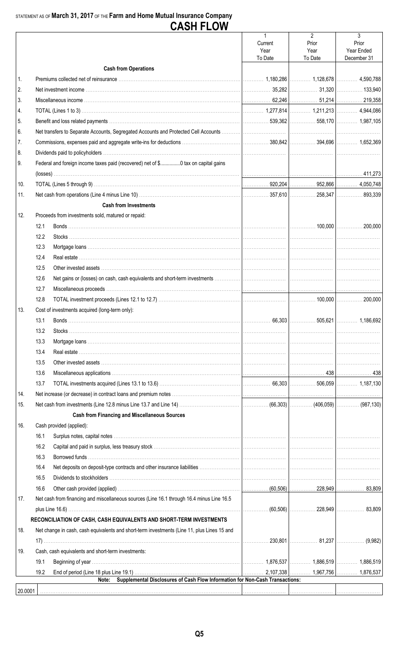### STATEMENT AS OF March 31, 2017 OF THE Farm and Home Mutual Insurance Company **CASH FLOW**

|     |      |                                                                                             | $\mathbf{1}$<br>Current<br>Year<br>To Date | $\overline{2}$<br>Prior<br>Year<br>To Date | 3<br>Prior<br>Year Ended<br>December 31 |
|-----|------|---------------------------------------------------------------------------------------------|--------------------------------------------|--------------------------------------------|-----------------------------------------|
|     |      | <b>Cash from Operations</b>                                                                 |                                            |                                            |                                         |
| 1.  |      |                                                                                             |                                            |                                            |                                         |
| 2.  |      |                                                                                             |                                            |                                            |                                         |
| 3.  |      |                                                                                             |                                            |                                            |                                         |
| 4.  |      |                                                                                             |                                            |                                            |                                         |
| 5.  |      |                                                                                             |                                            |                                            |                                         |
| 6.  |      |                                                                                             |                                            |                                            |                                         |
| 7.  |      |                                                                                             |                                            |                                            |                                         |
| 8.  |      |                                                                                             |                                            |                                            |                                         |
| 9.  |      | Federal and foreign income taxes paid (recovered) net of \$0 tax on capital gains           |                                            |                                            |                                         |
|     |      |                                                                                             |                                            |                                            |                                         |
| 10. |      |                                                                                             |                                            |                                            |                                         |
| 11. |      |                                                                                             |                                            |                                            |                                         |
|     |      | <b>Cash from Investments</b>                                                                |                                            |                                            |                                         |
| 12. |      | Proceeds from investments sold, matured or repaid:                                          |                                            |                                            |                                         |
|     | 12.1 |                                                                                             |                                            |                                            |                                         |
|     |      |                                                                                             |                                            |                                            |                                         |
|     | 12.2 |                                                                                             |                                            |                                            |                                         |
|     | 12.3 |                                                                                             |                                            |                                            |                                         |
|     | 12.4 |                                                                                             |                                            |                                            |                                         |
|     | 12.5 |                                                                                             |                                            |                                            |                                         |
|     | 12.6 |                                                                                             |                                            |                                            |                                         |
|     | 12.7 |                                                                                             |                                            |                                            |                                         |
|     | 12.8 |                                                                                             |                                            |                                            |                                         |
| 13. |      | Cost of investments acquired (long-term only):                                              |                                            |                                            |                                         |
|     | 13.1 |                                                                                             |                                            |                                            |                                         |
|     | 13.2 |                                                                                             |                                            |                                            |                                         |
|     | 13.3 |                                                                                             |                                            |                                            |                                         |
|     | 13.4 |                                                                                             |                                            |                                            |                                         |
|     | 13.5 |                                                                                             |                                            |                                            |                                         |
|     | 13.6 |                                                                                             |                                            |                                            |                                         |
|     | 13.7 |                                                                                             |                                            |                                            |                                         |
| 14. |      |                                                                                             |                                            |                                            |                                         |
| 15. |      |                                                                                             |                                            |                                            |                                         |
|     |      | <b>Cash from Financing and Miscellaneous Sources</b>                                        |                                            |                                            |                                         |
| 16. |      | Cash provided (applied):                                                                    |                                            |                                            |                                         |
|     | 16.1 |                                                                                             |                                            |                                            |                                         |
|     | 16.2 |                                                                                             |                                            |                                            |                                         |
|     | 16.3 |                                                                                             |                                            |                                            |                                         |
|     | 16.4 |                                                                                             |                                            |                                            |                                         |
|     | 16.5 |                                                                                             |                                            |                                            |                                         |
|     | 16.6 |                                                                                             |                                            |                                            |                                         |
| 17. |      | Net cash from financing and miscellaneous sources (Line 16.1 through 16.4 minus Line 16.5   |                                            |                                            |                                         |
|     |      |                                                                                             |                                            |                                            |                                         |
|     |      | RECONCILIATION OF CASH, CASH EQUIVALENTS AND SHORT-TERM INVESTMENTS                         |                                            |                                            |                                         |
| 18. |      | Net change in cash, cash equivalents and short-term investments (Line 11, plus Lines 15 and |                                            |                                            |                                         |
|     |      |                                                                                             |                                            | . 230,801 81,237 (9,982)                   |                                         |
| 19. |      | Cash, cash equivalents and short-term investments:                                          |                                            |                                            |                                         |
|     | 19.1 |                                                                                             |                                            |                                            |                                         |
|     | 19.2 |                                                                                             |                                            |                                            |                                         |
|     |      | Supplemental Disclosures of Cash Flow Information for Non-Cash Transactions:<br>Note:       |                                            |                                            |                                         |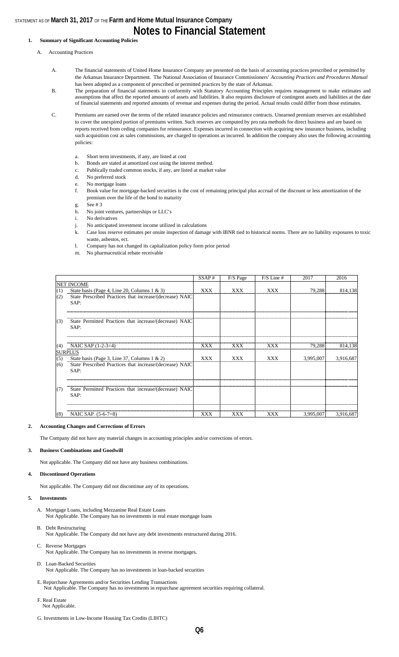#### **1. Summary of Significant Accounting Policies**

- A. Accounting Practices
	- A. The financial statements of United Home Insurance Company are presented on the basis of accounting practices prescribed or permitted by the Arkansas Insurance Department. The National Association of Insurance Commissioners' *Accounting Practices and Procedures Manual*  has been adopted as a component of prescribed or permitted practices by the state of Arkansas.
	- B. The preparation of financial statements in conformity with Statutory Accounting Principles requires management to make estimates and assumptions that affect the reported amounts of assets and liabilities. It also requires disclosure of contingent assets and liabilities at the date of financial statements and reported amounts of revenue and expenses during the period. Actual results could differ from those estimates.
	- C. Premiums are earned over the terms of the related insurance policies and reinsurance contracts. Unearned premium reserves are established to cover the unexpired portion of premiums written. Such reserves are computed by pro rata methods for direct business and are based on reports received from ceding companies for reinsurance. Expenses incurred in connection with acquiring new insurance business, including such acquisition cost as sales commissions, are charged to operations as incurred. In addition the company also uses the following accounting policies:
		- a. Short term investments, if any, are listed at cost
		- b. Bonds are stated at amortized cost using the interest method.
		- c. Publically traded common stocks, if any, are listed at market value
		- d. No preferred stock
		- e. No mortgage loans
		- f. Book value for mortgage-backed securities is the cost of remaining principal plus accrual of the discount or less amortization of the premium over the life of the bond to maturity
		- g. See # 3
		- h. No joint ventures, partnerships or LLC's
		- i. No derivatives
		- j. No anticipated investment income utilized in calculations
		- k. Case loss reserve estimates per onsite inspection of damage with IBNR tied to historical norms. There are no liability exposures to toxic waste, asbestos, ect.
		- l. Company has not changed its capitalization policy form prior period
		- m. No pharmaceutical rebate receivable

|     |                                                                  | SSAP#      | F/S Page   | $F/S$ Line $#$ | 2017      | 2016      |
|-----|------------------------------------------------------------------|------------|------------|----------------|-----------|-----------|
|     | <b>NET INCOME</b>                                                |            |            |                |           |           |
| (1) | State basis (Page 4, Line 20, Columns $1 \& 3$ )                 | XXX        | <b>XXX</b> | <b>XXX</b>     | 79,288    | 814,138   |
| (2) | State Prescribed Practices that increase/(decrease) NAIC<br>SAP: |            |            |                |           |           |
|     |                                                                  |            |            |                |           |           |
| (3) | State Permitted Practices that increase/(decrease) NAIC          |            |            |                |           |           |
|     | SAP:                                                             |            |            |                |           |           |
| (4) | NAIC SAP $(1-2-3=4)$                                             | XXX        | XXX        | XXX            | 79,288    | 814,138   |
|     | <b>SURPLUS</b>                                                   |            |            |                |           |           |
| (5) | State basis (Page 3, Line 37, Columns 1 & 2)                     | <b>XXX</b> | <b>XXX</b> | XXX            | 3,995,007 | 3,916,687 |
| (6) | State Prescribed Practices that increase/(decrease) NAIC<br>SAP: |            |            |                |           |           |
|     |                                                                  |            |            |                |           |           |
| (7) | State Permitted Practices that increase/(decrease) NAIC<br>SAP:  |            |            |                |           |           |
|     |                                                                  |            |            |                |           |           |
| (8) | NAIC SAP (5-6-7=8)                                               | XXX        | XXX        | XXX            | 3,995,007 | 3,916,687 |

#### **2. Accounting Changes and Corrections of Errors**

The Company did not have any material changes in accounting principles and/or corrections of errors.

#### **3. Business Combinations and Goodwill**

Not applicable. The Company did not have any business combinations.

#### **4. Discontinued Operations**

Not applicable. The Company did not discontinue any of its operations.

#### **5. Investments**

- A. Mortgage Loans, including Mezzanine Real Estate Loans Not Applicable. The Company has no investments in real estate mortgage loans
- B. Debt Restructuring Not Applicable. The Company did not have any debt investments restructured during 2016.
- C. Reverse Mortgages Not Applicable. The Company has no investments in reverse mortgages.
- D. Loan-Backed Securities Not Applicable. The Company has no investments in loan-backed securities
- E. Repurchase Agreements and/or Securities Lending Transactions Not Applicable. The Company has no investments in repurchase agreement securities requiring collateral.
- F. Real Estate Not Applicable.
- G. Investments in Low-Income Housing Tax Credits (LIHTC)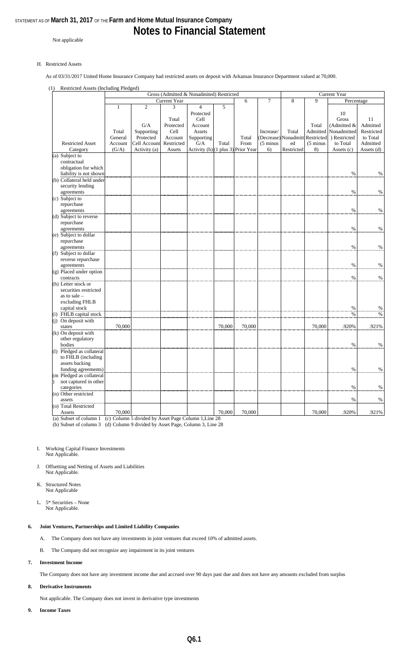# **Notes to Financial Statement**

Not applicable

#### H. Restricted Assets

As of 03/31/2017 United Home Insurance Company had restricted assets on deposit with Arkansas Insurance Department valued at 70,000.

#### (1) Restricted Assets (Including Pledged)

|                           |              |                |              | Gross (Admitted & Nonadmited) Restricted |        |            |                     | Current Year |                     |               |            |
|---------------------------|--------------|----------------|--------------|------------------------------------------|--------|------------|---------------------|--------------|---------------------|---------------|------------|
|                           |              |                | Current Year |                                          |        | 6          | 7                   | 8            | 9                   | Percentage    |            |
|                           | $\mathbf{1}$ | $\overline{2}$ | 3            | 4                                        | 5      |            |                     |              |                     |               |            |
|                           |              |                |              | Protected                                |        |            |                     |              |                     | 10            |            |
|                           |              |                | Total        | Cell                                     |        |            |                     |              |                     | Gross         | 11         |
|                           |              | G/A            | Protected    | Account                                  |        |            |                     |              | Total               | (Admitted &   | Admitted   |
|                           | Total        | Supporting     | Cell         | Assets                                   |        |            | Increase/           | Total        | Admitted            | Nonadmitted   | Restricted |
|                           | General      | Protected      | Account      | Supporting                               |        | Total      | (Decrease)          | Nonadmitt    | Restricted          | ) Restricted  | to Total   |
| <b>Restricted Asset</b>   | Account      | Cell Account   | Restricted   | G/A                                      | Total  | From       | $(5 \text{ minus})$ | ed           | $(5 \text{ minus})$ | to Total      | Admitted   |
| Category                  | (G/A)        | Activity (a)   | Assets       | Activity $(b)$ (1 plus 3)                |        | Prior Year | 6)                  | Restricted   | 8)                  | Assets (c)    | Assets (d) |
|                           |              |                |              |                                          |        |            |                     |              |                     |               |            |
| (a) Subject to            |              |                |              |                                          |        |            |                     |              |                     |               |            |
| contractual               |              |                |              |                                          |        |            |                     |              |                     |               |            |
| obligation for which      |              |                |              |                                          |        |            |                     |              |                     |               |            |
| liability is not shown    |              |                |              |                                          |        |            |                     |              |                     | $\%$          | $\%$       |
| (b) Collateral held under |              |                |              |                                          |        |            |                     |              |                     |               |            |
| security lending          |              |                |              |                                          |        |            |                     |              |                     |               |            |
| agreements                |              |                |              |                                          |        |            |                     |              |                     | $\%$          | $\%$       |
| (c) Subject to            |              |                |              |                                          |        |            |                     |              |                     |               |            |
| repurchase                |              |                |              |                                          |        |            |                     |              |                     |               |            |
| agreements                |              |                |              |                                          |        |            |                     |              |                     | $\%$          | $\%$       |
| (d) Subject to reverse    |              |                |              |                                          |        |            |                     |              |                     |               |            |
| repurchase                |              |                |              |                                          |        |            |                     |              |                     |               |            |
| agreements                |              |                |              |                                          |        |            |                     |              |                     | $\%$          | $\%$       |
| (e) Subject to dollar     |              |                |              |                                          |        |            |                     |              |                     |               |            |
| repurchase                |              |                |              |                                          |        |            |                     |              |                     |               |            |
| agreements                |              |                |              |                                          |        |            |                     |              |                     | $\%$          | $\%$       |
| (f) Subject to dollar     |              |                |              |                                          |        |            |                     |              |                     |               |            |
| reverse repurchase        |              |                |              |                                          |        |            |                     |              |                     |               |            |
| agreements                |              |                |              |                                          |        |            |                     |              |                     | $\%$          | $\%$       |
| (g) Placed under option   |              |                |              |                                          |        |            |                     |              |                     |               |            |
| contracts                 |              |                |              |                                          |        |            |                     |              |                     | $\frac{0}{0}$ | $\%$       |
| (h) Letter stock or       |              |                |              |                                          |        |            |                     |              |                     |               |            |
| securities restricted     |              |                |              |                                          |        |            |                     |              |                     |               |            |
|                           |              |                |              |                                          |        |            |                     |              |                     |               |            |
| as to sale $-$            |              |                |              |                                          |        |            |                     |              |                     |               |            |
| excluding FHLB            |              |                |              |                                          |        |            |                     |              |                     | $\%$          |            |
| capital stock             |              |                |              |                                          |        |            |                     |              |                     |               | $\%$       |
| (i) FHLB capital stock    |              |                |              |                                          |        |            |                     |              |                     | $\%$          | $\%$       |
| (j) On deposit with       |              |                |              |                                          |        |            |                     |              |                     |               |            |
| states                    | 70,000       |                |              |                                          | 70,000 | 70,000     |                     |              | 70,000              | .920%         | .921%      |
| $(k)$ On deposit with     |              |                |              |                                          |        |            |                     |              |                     |               |            |
| other regulatory          |              |                |              |                                          |        |            |                     |              |                     |               |            |
| bodies                    |              |                |              |                                          |        |            |                     |              |                     | $\%$          | $\%$       |
| (1) Pledged as collateral |              |                |              |                                          |        |            |                     |              |                     |               |            |
| to FHLB (including        |              |                |              |                                          |        |            |                     |              |                     |               |            |
| assets backing            |              |                |              |                                          |        |            |                     |              |                     |               |            |
| funding agreements)       |              |                |              |                                          |        |            |                     |              |                     | $\%$          | $\%$       |
| (m Pledged as collateral  |              |                |              |                                          |        |            |                     |              |                     |               |            |
| not captured in other     |              |                |              |                                          |        |            |                     |              |                     |               |            |
| categories                |              |                |              |                                          |        |            |                     |              |                     | $\%$          | $\%$       |
| (n) Other restricted      |              |                |              |                                          |        |            |                     |              |                     |               |            |
| assets                    |              |                |              |                                          |        |            |                     |              |                     | %             | $\%$       |
| (o) Total Restricted      |              |                |              |                                          |        |            |                     |              |                     |               |            |
| Assets                    | 70,000       |                |              |                                          | 70,000 | 70,000     |                     |              | 70,000              | .920%         | .921%      |
|                           |              |                |              |                                          |        |            |                     |              |                     |               |            |

(a) Subset of column 1 (c) Column 5 divided by Asset Page Column 1,Line 28 (b) Subset of column 3 (d) Column 9 divided by Asset Page, Column 3, Line 28

#### I. Working Capital Finance Investments Not Applicable.

J. Offsetting and Netting of Assets and Liabilities Not Applicable.

- K. Structured Notes Not Applicable
- L. 5\* Securities None Not Applicable.

#### **6. Joint Ventures, Partnerships and Limited Liability Companies**

- A. The Company does not have any investments in joint ventures that exceed 10% of admitted assets.
- B. The Company did not recognize any impairment in its joint ventures

#### **7. Investment Income**

The Company does not have any investment income due and accrued over 90 days past due and does not have any amounts excluded from surplus

#### **8. Derivative Instruments**

Not applicable. The Company does not invest in derivative type investments

**9. Income Taxes**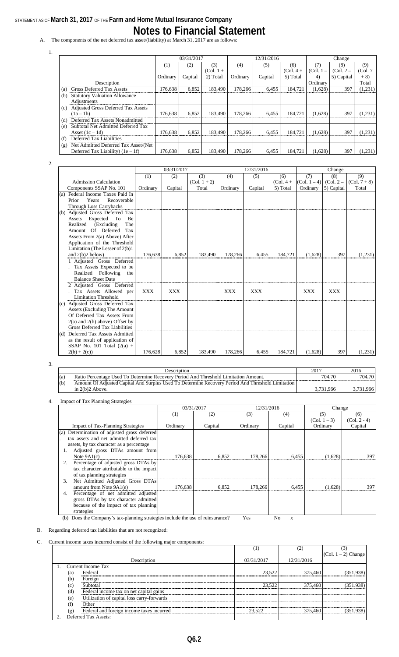A. The components of the net deferred tax asset/(liability) at March 31, 2017 are as follows:

|                                                  |          | 03/31/2017 |             |          | 12/31/2016 |             |             | Change      |         |
|--------------------------------------------------|----------|------------|-------------|----------|------------|-------------|-------------|-------------|---------|
|                                                  | (1)      | (2)        | (3)         | (4)      | (5)        | (6)         | (7)         | (8)         | (9)     |
|                                                  |          |            | $(Col. 1 +$ |          |            | $(Col. 4 +$ | $(Col. 1 -$ | $(Col. 2 -$ | (Col.7) |
|                                                  | Ordinary | Capital    | 2) Total    | Ordinary | Capital    | 5) Total    | 4)          | 5) Capital  | $+8)$   |
| Description                                      |          |            |             |          |            |             | Ordinary    |             | Total   |
| <b>Gross Deferred Tax Assets</b><br>(a)          | 176,638  | 6,852      | 183.490     | 178,266  | 6,455      | 184,721     | (1,628)     | 397         | (1,231) |
| <b>Statutory Valuation Allowance</b><br>(b)      |          |            |             |          |            |             |             |             |         |
| Adjustments                                      |          |            |             |          |            |             |             |             |         |
| <b>Adjusted Gross Deferred Tax Assets</b><br>(c) |          |            |             |          |            |             |             |             |         |
| $(1a-1b)$                                        | 176,638  | 6,852      | 183,490     | 178.266  | 6,455      | 184,721     | (1,628)     | 397         | (1,231) |
| Deferred Tax Assets Nonadmitted<br>(d)           |          |            |             |          |            |             |             |             |         |
| Subtotal Net Admitted Deferred Tax<br>(e)        |          |            |             |          |            |             |             |             |         |
| Asset $(1c - 1d)$                                | 176.638  | 6.852      | 183.490     | 178,266  | 6.455      | 184.721     | (1,628)     | 397         | (1,231) |
| Deferred Tax Liabilities<br>(f)                  |          |            |             |          |            |             |             |             |         |
| Net Admitted Deferred Tax Asset/(Net<br>(g)      |          |            |             |          |            |             |             |             |         |
| Deferred Tax Liability) $(1e - 1f)$              | 176.638  | 6,852      | 183.490     | 178.266  | 6.455      | 184.721     | (1,628)     | 397         | (1,231) |

<sup>2.</sup>

1.

|                                       | 03/31/2017 |            |                | 12/31/2016 |            |             | Change         |             |                |
|---------------------------------------|------------|------------|----------------|------------|------------|-------------|----------------|-------------|----------------|
|                                       | (1)        | (2)        | (3)            | (4)        | (5)        | (6)         | (7)            | (8)         | (9)            |
| <b>Admission Calculation</b>          |            |            | $(Col. 1 + 2)$ |            |            | $(Col. 4 +$ | $(Col. 1 - 4)$ | $(Col. 2 -$ | $(Col. 7 + 8)$ |
| Components SSAP No. 101               | Ordinary   | Capital    | Total          | Ordinary   | Capital    | 5) Total    | Ordinary       | 5) Capital  | Total          |
| (a) Federal Income Taxes Paid In      |            |            |                |            |            |             |                |             |                |
| Years<br>Recoverable<br>Prior         |            |            |                |            |            |             |                |             |                |
| <b>Through Loss Carrybacks</b>        |            |            |                |            |            |             |                |             |                |
| (b) Adjusted Gross Deferred Tax       |            |            |                |            |            |             |                |             |                |
| Expected<br>To<br>Be<br>Assets        |            |            |                |            |            |             |                |             |                |
| (Excluding<br>The<br>Realized         |            |            |                |            |            |             |                |             |                |
| Amount Of Deferred<br>Tax             |            |            |                |            |            |             |                |             |                |
| Assets From 2(a) Above) After         |            |            |                |            |            |             |                |             |                |
| Application of the Threshold          |            |            |                |            |            |             |                |             |                |
| Limitation (The Lesser of $2(b)1$     |            |            |                |            |            |             |                |             |                |
| and $2(b)2$ below)                    | 176.638    | 6,852      | 183,490        | 178,266    | 6.455      | 184.721     | (1,628)        | 397         | (1,231)        |
| 1 Adjusted Gross Deferred             |            |            |                |            |            |             |                |             |                |
| Tax Assets Expected to be             |            |            |                |            |            |             |                |             |                |
| Realized Following<br>the             |            |            |                |            |            |             |                |             |                |
| <b>Balance Sheet Date</b>             |            |            |                |            |            |             |                |             |                |
| 2 Adjusted Gross Deferred             |            |            |                |            |            |             |                |             |                |
| Tax Assets Allowed per                | <b>XXX</b> | <b>XXX</b> |                | <b>XXX</b> | <b>XXX</b> |             | <b>XXX</b>     | <b>XXX</b>  |                |
| <b>Limitation Threshold</b>           |            |            |                |            |            |             |                |             |                |
| (c) Adjusted Gross Deferred Tax       |            |            |                |            |            |             |                |             |                |
| <b>Assets (Excluding The Amount</b> ) |            |            |                |            |            |             |                |             |                |
| Of Deferred Tax Assets From           |            |            |                |            |            |             |                |             |                |
| $2(a)$ and $2(b)$ above) Offset by    |            |            |                |            |            |             |                |             |                |
| Gross Deferred Tax Liabilities        |            |            |                |            |            |             |                |             |                |
| (d) Deferred Tax Assets Admitted      |            |            |                |            |            |             |                |             |                |
| as the result of application of       |            |            |                |            |            |             |                |             |                |
| SSAP No. 101 Total $(2(a) +$          |            |            |                |            |            |             |                |             |                |
| $2(b) + 2(c)$                         | 176.628    | 6.852      | 183.490        | 178.266    | 6.455      | 184.721     | (1.628)        | 397         | (1,231)        |

3.

|     | <b>Description</b>                                                                                | 2017    | 2016   |
|-----|---------------------------------------------------------------------------------------------------|---------|--------|
| (a) | Ratio Percentage Used To Determine Recovery Period And Threshold Limitation Amount.               | 704.70  | 704.70 |
| (b) | Amount Of Adjusted Capital And Surplus Used To Determine Recovery Period And Threshold Limitation |         |        |
|     | in $2(b)2$ Above.                                                                                 | 731.966 |        |

#### 4. Impact of Tax Planning Strategies

|                                              | 03/31/2017 |         | 12/31/2016 |               | Change         |                |
|----------------------------------------------|------------|---------|------------|---------------|----------------|----------------|
|                                              | (1)        | (2)     | (3)        | (4)           | (5)            | (6)            |
|                                              |            |         |            |               | $(Col. 1 - 3)$ | $(Col. 2 - 4)$ |
| <b>Impact of Tax-Planning Strategies</b>     | Ordinary   | Capital | Ordinary   | Capital       | Ordinary       | Capital        |
| (a) Determination of adjusted gross deferred |            |         |            |               |                |                |
| tax assets and net admitted deferred tax     |            |         |            |               |                |                |
| assets, by tax character as a percentage     |            |         |            |               |                |                |
| Adjusted gross DTAs amount from              |            |         |            |               |                |                |
| Note $9A1(c)$                                | 176,638    | 6.852   | 178,266    | 6,455         | (1,628)        | 397            |
| Percentage of adjusted gross DTAs by         |            |         |            |               |                |                |
| tax character attributable to the impact     |            |         |            |               |                |                |
| of tax planning strategies                   |            |         |            |               |                |                |
| Net Admitted Adjusted Gross DTAs<br>3.       |            |         |            |               |                |                |
| amount from Note 9A1(e)                      | 176,638    | 6.852   | 178,266    | 6.455         | (1,628)        | 397            |
| Percentage of net admitted adjusted          |            |         |            |               |                |                |
| gross DTAs by tax character admitted         |            |         |            |               |                |                |
| because of the impact of tax planning        |            |         |            |               |                |                |
| strategies                                   | .          |         | $ -$       | $\sim$ $\sim$ |                |                |

(b) Does the Company's tax-planning strategies include the use of reinsurance? Yes  $\frac{X}{\frac{X}{X}}$ 

B. Regarding deferred tax liabilities that are not recognized:

C. Current income taxes incurred consist of the following major components:

|             |     |                                            |            | (2         |                     |
|-------------|-----|--------------------------------------------|------------|------------|---------------------|
|             |     |                                            |            |            | (Col. 1 – 2) Change |
|             |     | Description                                | 03/31/2017 | 12/31/2016 |                     |
|             |     | 1. Current Income Tax                      |            |            |                     |
|             | (a) | Federal                                    | 23.522     | 375,460    |                     |
|             | (b) | Foreign                                    |            |            |                     |
|             | (c) | Subtotal                                   | 23.522     | 375,460    |                     |
|             | (d) | Federal income tax on net capital gains    |            |            |                     |
|             | (e) | Utilization of capital loss carry-forwards |            |            |                     |
|             | (f) | Other                                      |            |            |                     |
|             | (g) | Federal and foreign income taxes incurred  | 23.522     | 375.460    |                     |
| $2^{\circ}$ |     | Deferred Tax Assets:                       |            |            |                     |

**Q6.2**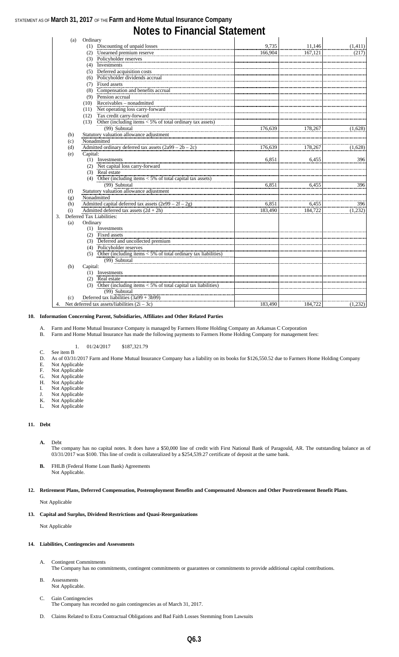| (a) | Ordinary |                                                                      |         |         |         |
|-----|----------|----------------------------------------------------------------------|---------|---------|---------|
|     |          | (1) Discounting of unpaid losses                                     | 9.735   | 11,146  | (1,411) |
|     |          | (2) Unearned premium reserve                                         | 166,904 | 167,121 | (217)   |
|     |          | (3) Policyholder reserves                                            |         |         |         |
|     |          | (4) Investments                                                      |         |         |         |
|     |          | (5) Deferred acquisition costs                                       |         |         |         |
|     |          | (6) Policyholder dividends accrual                                   |         |         |         |
|     |          | (7) Fixed assets                                                     |         |         |         |
|     | (8)      | Compensation and benefits accrual                                    |         |         |         |
|     |          | (9) Pension accrual                                                  |         |         |         |
|     |          | (10) Receivables - nonadmitted                                       |         |         |         |
|     |          | (11) Net operating loss carry-forward                                |         |         |         |
|     |          | (12) Tax credit carry-forward                                        |         |         |         |
|     |          | (13) Other (including items $<$ 5% of total ordinary tax assets)     |         |         |         |
|     |          | (99) Subtotal                                                        | 176,639 | 178,267 | (1,628) |
| (b) |          | Statutory valuation allowance adjustment                             |         |         |         |
| (c) |          | Nonadmitted                                                          |         |         |         |
| (d) |          | Admitted ordinary deferred tax assets $(2a99 – 2b – 2c)$             | 176,639 | 178,267 | (1,628) |
| (e) | Capital: |                                                                      |         |         |         |
|     |          | (1) Investments                                                      | 6.851   | 6,455   | 396     |
|     |          | (2) Net capital loss carry-forward                                   |         |         |         |
|     |          | (3) Real estate                                                      |         |         |         |
|     |          | (4) Other (including items $<$ 5% of total capital tax assets)       |         |         |         |
|     |          | (99) Subtotal                                                        | 6.851   | 6.455   | 396     |
| (f) |          | Statutory valuation allowance adjustment                             |         |         |         |
| (g) |          | Nonadmitted                                                          |         |         |         |
| (h) |          | Admitted capital deferred tax assets $(2e99 - 2f - 2g)$              | 6,851   | 6,455   | 396     |
| (i) |          | Admitted deferred tax assets $(2d + 2h)$                             | 183,490 | 184,722 | (1,232) |
| 3.  |          | Deferred Tax Liabilities:                                            |         |         |         |
| (a) | Ordinary |                                                                      |         |         |         |
|     |          | (1) Investments                                                      |         |         |         |
|     |          | (2) Fixed assets                                                     |         |         |         |
|     |          | (3) Deferred and uncollected premium                                 |         |         |         |
|     |          | (4) Policyholder reserves                                            |         |         |         |
|     |          | (5) Other (including items $<$ 5% of total ordinary tax liabilities) |         |         |         |
|     |          | (99) Subtotal                                                        |         |         |         |
| (b) | Capital: |                                                                      |         |         |         |
|     |          | (1) Investments                                                      |         |         |         |
|     |          | (2) Real estate                                                      |         |         |         |
|     |          | (3) Other (including items $<$ 5% of total capital tax liabilities)  |         |         |         |
|     |          | (99) Subtotal                                                        |         |         |         |
| (c) |          | Deferred tax liabilities $(3a99 + 3b99)$                             |         |         |         |
|     |          | 4. Net deferred tax assets/liabilities $(2i – 3c)$                   | 183,490 | 184,722 | (1,232) |

#### **10. Information Concerning Parent, Subsidiaries, Affiliates and Other Related Parties**

A. Farm and Home Mutual Insurance Company is managed by Farmers Home Holding Company an Arkansas C Corporation

B. Farm and Home Mutual Insurance has made the following payments to Farmers Home Holding Company for management fees:

#### 1. 01/24/2017 \$187,321.79

- C. See item B D. As of 03/31/2017 Farm and Home Mutual Insurance Company has a liability on its books for \$126,550.52 due to Farmers Home Holding Company
- E. Not Applicable
- F. Not Applicable
- G. Not Applicable
- H. Not Applicable
- I. Not Applicable
- J. Not Applicable
- K. Not Applicable
- L. Not Applicable

#### **11. Debt**

#### **A.** Debt

- The company has no capital notes. It does have a \$50,000 line of credit with First National Bank of Paragould, AR. The outstanding balance as of 03/31/2017 was \$100. This line of credit is collateralized by a \$254,539.27 certificate of deposit at the same bank.
- **B.** FHLB (Federal Home Loan Bank) Agreements Not Applicable.

#### **12. Retirement Plans, Deferred Compensation, Postemployment Benefits and Compensated Absences and Other Postretirement Benefit Plans.**

Not Applicable

#### **13. Capital and Surplus, Dividend Restrictions and Quasi-Reorganizations**

Not Applicable

#### **14. Liabilities, Contingencies and Assessments**

- A. Contingent Commitments The Company has no commitments, contingent commitments or guarantees or commitments to provide additional capital contributions.
- B. Assessments Not Applicable.
- C. Gain Contingencies The Company has recorded no gain contingencies as of March 31, 2017.
- D. Claims Related to Extra Contractual Obligations and Bad Faith Losses Stemming from Lawsuits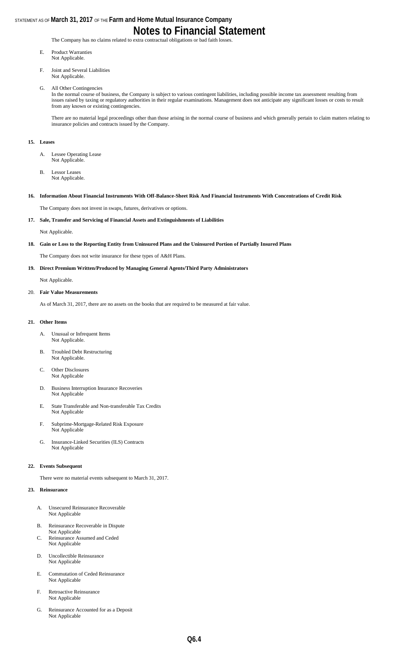The Company has no claims related to extra contractual obligations or bad faith losses.

- E. Product Warranties Not Applicable.
- F. Joint and Several Liabilities Not Applicable.
- G. All Other Contingencies

In the normal course of business, the Company is subject to various contingent liabilities, including possible income tax assessment resulting from issues raised by taxing or regulatory authorities in their regular examinations. Management does not anticipate any significant losses or costs to result from any known or existing contingencies.

There are no material legal proceedings other than those arising in the normal course of business and which generally pertain to claim matters relating to insurance policies and contracts issued by the Company.

#### **15. Leases**

- A. Lessee Operating Lease Not Applicable.
- B. Lessor Leases Not Applicable.
- **16. Information About Financial Instruments With Off-Balance-Sheet Risk And Financial Instruments With Concentrations of Credit Risk**

The Company does not invest in swaps, futures, derivatives or options.

**17. Sale, Transfer and Servicing of Financial Assets and Extinguishments of Liabilities** 

Not Applicable.

**18. Gain or Loss to the Reporting Entity from Uninsured Plans and the Uninsured Portion of Partially Insured Plans**

The Company does not write insurance for these types of A&H Plans.

**19. Direct Premium Written/Produced by Managing General Agents/Third Party Administrators**

Not Applicable.

20. **Fair Value Measurements**

As of March 31, 2017, there are no assets on the books that are required to be measured at fair value.

#### **21. Other Items**

- A. Unusual or Infrequent Items Not Applicable.
- B. Troubled Debt Restructuring Not Applicable.
- C. Other Disclosures Not Applicable
- D. Business Interruption Insurance Recoveries Not Applicable
- E. State Transferable and Non-transferable Tax Credits Not Applicable
- F. Subprime-Mortgage-Related Risk Exposure Not Applicable
- G. Insurance-Linked Securities (ILS) Contracts Not Applicable

#### **22. Events Subsequent**

There were no material events subsequent to March 31, 2017.

#### **23. Reinsurance**

- A. Unsecured Reinsurance Recoverable Not Applicable
- B. Reinsurance Recoverable in Dispute
- Not Applicable C. Reinsurance Assumed and Ceded Not Applicable
- D. Uncollectible Reinsurance Not Applicable
- E. Commutation of Ceded Reinsurance Not Applicable
- F. Retroactive Reinsurance Not Applicable
- G. Reinsurance Accounted for as a Deposit Not Applicable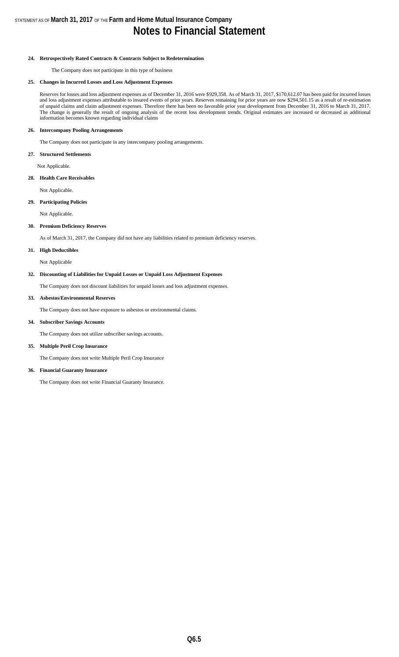#### **24. Retrospectively Rated Contracts & Contracts Subject to Redetermination**

The Company does not participate in this type of business

#### **25. Changes in Incurred Losses and Loss Adjustment Expenses**

Reserves for losses and loss adjustment expenses as of December 31, 2016 were \$929,358. As of March 31, 2017, \$170,612.07 has been paid for incurred losses and loss adjustment expenses attributable to insured events of prior years. Reserves remaining for prior years are now \$294,501.15 as a result of re-estimation of unpaid claims and claim adjustment expenses. Therefore there has been no favorable prior year development from December 31, 2016 to March 31, 2017. The change is generally the result of ongoing analysis of the recent loss development trends. Original estimates are increased or decreased as additional information becomes known regarding individual claims

#### **26. Intercompany Pooling Arrangements**

The Company does not participate in any intercompany pooling arrangements.

#### **27. Structured Settlements**

Not Applicable.

#### **28. Health Care Receivables**

Not Applicable.

#### **29. Participating Policies**

Not Applicable.

#### **30. Premium Deficiency Reserves**

As of March 31, 2017, the Company did not have any liabilities related to premium deficiency reserves.

#### **31. High Deductibles**

Not Applicable

#### **32. Discounting of Liabilities for Unpaid Losses or Unpaid Loss Adjustment Expenses**

The Company does not discount liabilities for unpaid losses and loss adjustment expenses.

#### **33. Asbestos/Environmental Reserves**

The Company does not have exposure to asbestos or environmental claims.

#### **34. Subscriber Savings Accounts**

The Company does not utilize subscriber savings accounts.

#### **35. Multiple Peril Crop Insurance**

The Company does not write Multiple Peril Crop Insurance

#### **36. Financial Guaranty Insurance**

The Company does not write Financial Guaranty Insurance.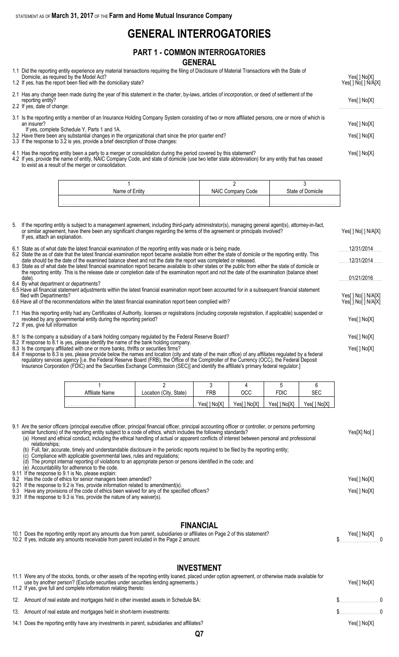### **GENERAL INTERROGATORIES**

### **PART 1 - COMMON INTERROGATORIES GENERAL**

| 1.1 Did the reporting entity experience any material transactions requiring the filing of Disclosure of Material Transactions with the State of<br>Domicile, as required by the Model Act?<br>1.2 If yes, has the report been filed with the domiciliary state?                                                                                                                                              | Yes[ ] No[ ] N/A[X] |
|--------------------------------------------------------------------------------------------------------------------------------------------------------------------------------------------------------------------------------------------------------------------------------------------------------------------------------------------------------------------------------------------------------------|---------------------|
| 2.1 Has any change been made during the year of this statement in the charter, by-laws, articles of incorporation, or deed of settlement of the<br>reporting entity?<br>2.2 If yes, date of change:                                                                                                                                                                                                          | Yes[ ] No[X]        |
| 3.1 Is the reporting entity a member of an Insurance Holding Company System consisting of two or more affiliated persons, one or more of which is<br>an insurer?<br>If yes, complete Schedule Y, Parts 1 and 1A.<br>3.2 Have there been any substantial changes in the organizational chart since the prior quarter end?<br>3.3 If the response to 3.2 is yes, provide a brief description of those changes: | Yes[ ] No[X]        |
| 4.1 Has the reporting entity been a party to a merger or consolidation during the period covered by this statement?                                                                                                                                                                                                                                                                                          | Yes[ ] No[X]        |

4.2 If yes, provide the name of entity, NAIC Company Code, and state of domicile (use two letter state abbreviation) for any entity that has ceased to exist as a result of the merger or consolidation.

| Name of Entity | NAIC Company Code | State of Domicile |
|----------------|-------------------|-------------------|
|                |                   |                   |
|                |                   |                   |

| 5. | If the reporting entity is subject to a management agreement, including third-party administrator(s), managing general agent(s), attorney-in-fact,<br>or similar agreement, have there been any significant changes regarding the terms of the agreement or principals involved?<br>If yes, attach an explanation.                                          | Yes[ ] No[ ] N/A[X] |
|----|-------------------------------------------------------------------------------------------------------------------------------------------------------------------------------------------------------------------------------------------------------------------------------------------------------------------------------------------------------------|---------------------|
|    | 6.1 State as of what date the latest financial examination of the reporting entity was made or is being made.                                                                                                                                                                                                                                               | 12/31/2014          |
|    | 6.2 State the as of date that the latest financial examination report became available from either the state of domicile or the reporting entity. This<br>date should be the date of the examined balance sheet and not the date the report was completed or released.                                                                                      | 12/31/2014          |
|    | 6.3 State as of what date the latest financial examination report became available to other states or the public from either the state of domicile or<br>the reporting entity. This is the release date or completion date of the examination report and not the date of the examination (balance sheet<br>date).<br>6.4 By what department or departments? | 01/21/2016          |
|    | 6.5 Have all financial statement adjustments within the latest financial examination report been accounted for in a subsequent financial statement<br>filed with Departments?                                                                                                                                                                               | Yes[ ] No[ ] N/A[X] |
|    | 6.6 Have all of the recommendations within the latest financial examination report been complied with?                                                                                                                                                                                                                                                      | Yes[ ] No[ ] N/A[X] |
|    | 7.1 Has this reporting entity had any Certificates of Authority, licenses or registrations (including corporate registration, if applicable) suspended or<br>revoked by any governmental entity during the reporting period?<br>7.2 If yes, give full information                                                                                           |                     |
|    | 8.1 Is the company a subsidiary of a bank holding company regulated by the Federal Reserve Board?                                                                                                                                                                                                                                                           | Yes[] No[X]         |
|    | 8.2 If response to 8.1 is yes, please identify the name of the bank holding company.<br>8.3 Is the company affiliated with one or more banks, thrifts or securities firms?<br>8.4 If response to 8.3 is yes, please provide below the names and location (city and state of the main office) of any affiliates regulated by a federal                       | Yes[ ] No[X]        |

regulatory services agency [i.e. the Federal Reserve Board (FRB), the Office of the Comptroller of the Currency (OCC), the Federal Deposit Insurance Corporation (FDIC) and the Securities Exchange Commission (SEC)] and identify the affiliate's primary federal regulator.]

| Affiliate Name | Location (City, State) | FRB         | חרר<br>ハしし   | FDIC        | SEC         |
|----------------|------------------------|-------------|--------------|-------------|-------------|
|                |                        | Yes[] No[X] | Yes[ ] No[X] | Yes[] No[X] | Yes[] No[X] |

| 9.1 Are the senior officers (principal executive officer, principal financial officer, principal accounting officer or controller, or persons performing                                                                                  |              |
|-------------------------------------------------------------------------------------------------------------------------------------------------------------------------------------------------------------------------------------------|--------------|
| similar functions) of the reporting entity subject to a code of ethics, which includes the following standards?                                                                                                                           | Yes[X] No[ ] |
| $\mathcal{L}(\mathcal{M})$ . The state of the state of the state of the state of the state of the state of the state of the state of the state of the state of the state of the state of the state of the state of the state of the state |              |

(a) Honest and ethical conduct, including the ethical handling of actual or apparent conflicts of interest between personal and professional relationships;

(b) Full, fair, accurate, timely and understandable disclosure in the periodic reports required to be filed by the reporting entity;

(c) Compliance with applicable governmental laws, rules and regulations;

(d) The prompt internal reporting of violations to an appropriate person or persons identified in the code; and

(e) Accountability for adherence to the code. 9.11 If the response to 9.1 is No, please explain:

9.2 Has the code of ethics for senior managers been amended? Yes[ ] No[X] 9.21 If the response to 9.2 is Yes, provide information related to amendment(s). 9.3 Have any provisions of the code of ethics been waived for any of the specified officers? The state of the specified officers and the specified officers?

9.31 If the response to 9.3 is Yes, provide the nature of any waiver(s).

### **FINANCIAL**

| 10.1 Does the reporting entity report any amounts due from parent, subsidiaries or affiliates on Page 2 of this statement? | Yes[ ] No[X] |
|----------------------------------------------------------------------------------------------------------------------------|--------------|
| 10.2 If yes, indicate any amounts receivable from parent included in the Page 2 amount:                                    |              |

### **INVESTMENT**

| 11.1 Were any of the stocks, bonds, or other assets of the reporting entity loaned, placed under option agreement, or otherwise made available for<br>use by another person? (Exclude securities under securities lending agreements.)<br>11.2 If yes, give full and complete information relating thereto: | Yes[] No[X]     |
|-------------------------------------------------------------------------------------------------------------------------------------------------------------------------------------------------------------------------------------------------------------------------------------------------------------|-----------------|
| 12. Amount of real estate and mortgages held in other invested assets in Schedule BA:                                                                                                                                                                                                                       | $\sim$ 0        |
| 13. Amount of real estate and mortgages held in short-term investments:                                                                                                                                                                                                                                     | $\sim$ $\sim$ 0 |
| 14.1 Does the reporting entity have any investments in parent, subsidiaries and affiliates?                                                                                                                                                                                                                 | Yes[ ] No[X]    |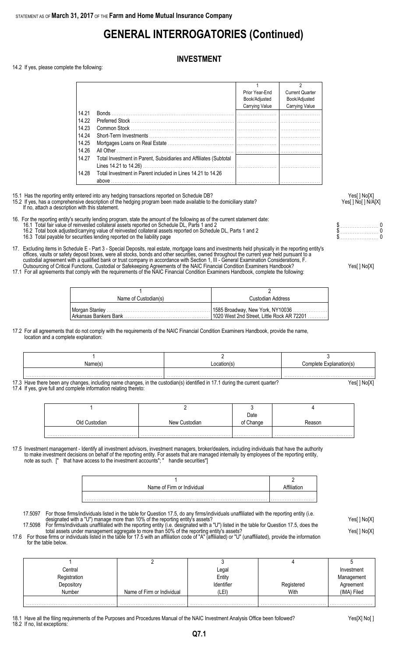# **GENERAL INTERROGATORIES (Continued)**

### **INVESTMENT**

14.2 If yes, please complete the following:

|       |                                                                   |                | 2                      |
|-------|-------------------------------------------------------------------|----------------|------------------------|
|       |                                                                   | Prior Year-End | <b>Current Quarter</b> |
|       |                                                                   | Book/Adjusted  | Book/Adjusted          |
|       |                                                                   | Carrying Value | Carrying Value         |
| 14.21 |                                                                   |                |                        |
| 14.22 |                                                                   |                |                        |
| 14.23 |                                                                   |                |                        |
| 14.24 |                                                                   |                |                        |
| 14.25 |                                                                   |                |                        |
| 14.26 |                                                                   |                |                        |
| 14.27 | Total Investment in Parent, Subsidiaries and Affiliates (Subtotal |                |                        |
|       |                                                                   |                |                        |
| 14.28 | Total Investment in Parent included in Lines 14.21 to 14.26       |                |                        |

15.1 Has the reporting entity entered into any hedging transactions reported on Schedule DB? Yes[ ] No[X]

15.2 If yes, has a comprehensive description of the hedging program been made available to the domiciliary state? Yesel 1 No [ ] No [ ] N/A[X] If no, attach a description with this statement.

16. For the reporting entity's security lending program, state the amount of the following as of the current statement date:

- 16.1 Total fair value of reinvested collateral assets reported on Schedule DL, Parts 1 and 2 **but a set a set a set a** set a set a set a set a protect on Schedule DL, Parts 1 and 2 **but a set a set a set a set a set a set** 
	- 16.2 Total book adjusted/carrying value of reinvested collateral assets reported on Schedule DL, Parts 1 and 2 \$. . . . . . . . . . . . . . . . . . . . . . . 0
	- 16.3 Total payable for securities lending reported on the liability page the state of the state of the state of the state of the state of the state of the state of the state of the state of the state of the state of the st
- 17. Excluding items in Schedule E Part 3 Special Deposits, real estate, mortgage loans and investments held physically in the reporting entity's offices, vaults or safety deposit boxes, were all stocks, bonds and other securities, owned throughout the current year held pursuant to a custodial agreement with a qualified bank or trust company in accordance with Section 1, III - General Examination Considerations, F. Outsourcing of Critical Functions, Custodial or Safekeeping Agreements of the NAIC Financial Condition Examiners Handbook? Yes[ ] No[X]
- 17.1 For all agreements that comply with the requirements of the NAIC Financial Condition Examiners Handbook, complete the following:

| Name of Custodian(s) | Custodian Address |
|----------------------|-------------------|
|                      |                   |

17.2 For all agreements that do not comply with the requirements of the NAIC Financial Condition Examiners Handbook, provide the name, location and a complete explanation:

| Name(s)                                                                                                                      | ocation(s)  | Complete Explanation(s) |
|------------------------------------------------------------------------------------------------------------------------------|-------------|-------------------------|
|                                                                                                                              |             |                         |
|                                                                                                                              |             |                         |
| 17.3 Have there been any changes, including name changes, in the custodian(s) identified in 17.1 during the current quarter? | Yes[] No[X] |                         |

17.4 If yes, give full and complete information relating thereto:

|               |               | Date      |        |
|---------------|---------------|-----------|--------|
| Old Custodian | New Custodian | of Change | ≀eason |
|               |               |           |        |
|               |               |           |        |

17.5 Investment management - Identify all investment advisors, investment managers, broker/dealers, including individuals that have the authority to make investment decisions on behalf of the reporting entity. For assets that are managed internally by employees of the reporting entity, note as such. [" that have access to the investment accounts"; " handle securities"]

| Name of Firm or Individual |  |
|----------------------------|--|
|                            |  |
|                            |  |

17.5097 For those firms/individuals listed in the table for Question 17.5, do any firms/individuals unaffiliated with the reporting entity (i.e. designated with a "U") manage more than 10% of the reporting entity's assets? Yes[ ] No[X]

17.5098 For firms/individuals unaffiliated with the reporting entity (i.e. designated with a "U") listed in the table for Question 17.5, does the total assets under management aggregate to more than 50% of the reporting entity's assets? Yese and the reporting than the reporting entity's assets? 17.6 For those firms or individuals listed in the table for 17.5 with an affiliation code of "A" (affiliated) or "U" (unaffiliated), provide the information

for the table below.

| Central      |                            | Legal      |            | Investment  |
|--------------|----------------------------|------------|------------|-------------|
| Registration |                            | Entity     |            | Management  |
| Depository   |                            | Identifier | Registered | Agreement   |
| Number       | Name of Firm or Individual | (LEI)      | With       | (IMA) Filed |
|              |                            |            |            |             |

18.1 Have all the filing requirements of the Purposes and Procedures Manual of the NAIC Investment Analysis Office been followed? Yes[X] No[ ]

18.2 If no, list exceptions: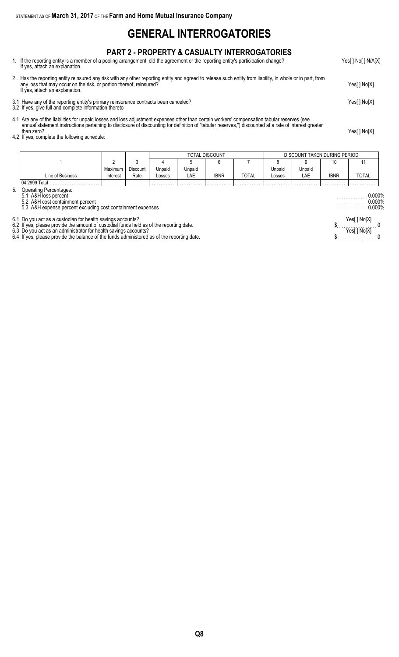## **GENERAL INTERROGATORIES**

### **PART 2 - PROPERTY & CASUALTY INTERROGATORIES**

1. If the reporting entity is a member of a pooling arrangement, did the agreement or the reporting entity's participation change? Yes[ ] No[ ] N/A[X] If yes, attach an explanation.

2 . Has the reporting entity reinsured any risk with any other reporting entity and agreed to release such entity from liability, in whole or in part, from any loss that may occur on the risk, or portion thereof, reinsured? Yes[ ] No[X] If yes, attach an explanation. 3.1 Have any of the reporting entity's primary reinsurance contracts been canceled? Yes[ ] No[X]

- 3.2 If yes, give full and complete information thereto
- 4.1 Are any of the liabilities for unpaid losses and loss adjustment expenses other than certain workers' compensation tabular reserves (see annual statement instructions pertaining to disclosure of discounting for definition of "tabular reserves,") discounted at a rate of interest greater than zero? Yes[ ] No[X]
- than zero?<br>4.2 If yes, complete the following schedule:

|                  |          |          | TOTAL DISCOUNT |        |      |              |        |        | DISCOUNT TAKEN DURING PERIOD |              |
|------------------|----------|----------|----------------|--------|------|--------------|--------|--------|------------------------------|--------------|
|                  |          |          |                |        |      |              |        |        | 10                           |              |
|                  | Maximum  | Discount | Unpaid         | Unpaid |      |              | Unpaid | Unpaid |                              |              |
| Line of Business | Interest | Rate     | Losses         | LAE    | ibnr | <b>TOTAL</b> | LOSSES | LAE    | <b>IBNR</b>                  | <b>TOTAL</b> |
| l 04.2999 Total  |          |          | .              | .      | .    | .            | .      | .      | .                            | .            |

5. Operating Percentages:

5.1 A&H loss percent . . . . . . . . . . . . . . . . . . 0.000%

5.2 A&H cost containment percent . . . . . . . . . . . . . . . . . . 0.000% 5.3 A&H expense percent excluding cost containment expenses . . . . . . . . . . . . . . . . . . 0.000%

6.1 Do you act as a custodian for health savings accounts? Yes[ ] No[X]

6.2 If yes, please provide the amount of custodial funds held as of the reporting date. \$. . . . . . . . . . . . . . . . . . . . . . . 0

6.3 Do you act as an administrator for health savings accounts? Yes[ ] No[X]

6.4 If yes, please provide the balance of the funds administered as of the reporting date.  $\$\dots 0$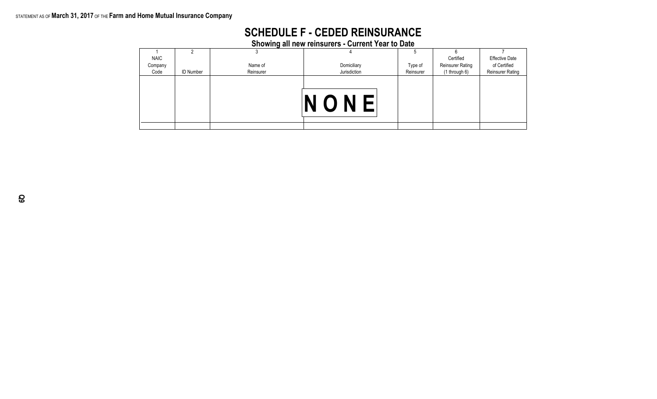### STATEMENT AS OF **March 31, 2017** OF THE **Farm and Home Mutual Insurance Company**

| <b>SCHEDULE F - CEDED REINSURANCE</b> |
|---------------------------------------|
|---------------------------------------|

**Showing all new reinsurers - Current Year to Date**

| <b>NAIC</b> |                  |           |              |           | Certified               | <b>Effective Date</b>   |
|-------------|------------------|-----------|--------------|-----------|-------------------------|-------------------------|
| Company     |                  | Name of   | Domiciliary  | Type of   | <b>Reinsurer Rating</b> | of Certified            |
| Code        | <b>ID Number</b> | Reinsurer | Jurisdiction | Reinsurer | (1 through 6)           | <b>Reinsurer Rating</b> |
|             |                  |           | NONE         |           |                         |                         |
|             |                  |           |              |           |                         |                         |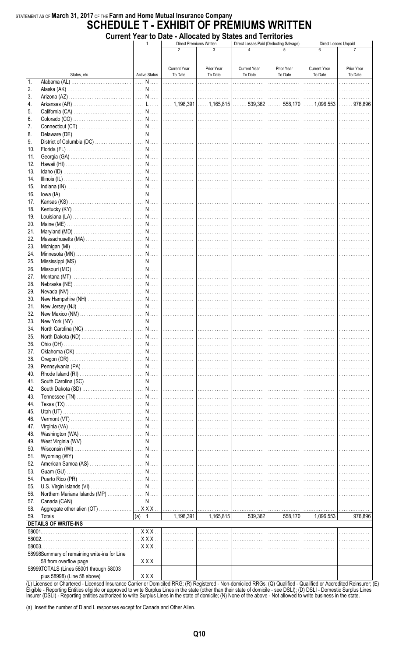### STATEMENT AS OF March 31, 2017 OF THE Farm and Home Mutual Insurance Company **SCHEDULE T - EXHIBIT OF PRÉMIUMS WRITTEN** Current Year to Date - Allocated by States and Territories

|        |                                              |                         |                     | <b>UNITELLE LO DATE - ANUCATED DY JUATES AND TELLIULIES</b><br>Direct Premiums Written |                                                                                               | Direct Losses Paid (Deducting Salvage) |                     | Direct Losses Unpaid |
|--------|----------------------------------------------|-------------------------|---------------------|----------------------------------------------------------------------------------------|-----------------------------------------------------------------------------------------------|----------------------------------------|---------------------|----------------------|
|        |                                              |                         | 2                   | 3                                                                                      |                                                                                               |                                        |                     |                      |
|        |                                              |                         |                     |                                                                                        |                                                                                               |                                        |                     |                      |
|        |                                              |                         |                     |                                                                                        |                                                                                               |                                        |                     |                      |
|        |                                              |                         | <b>Current Year</b> | Prior Year                                                                             | <b>Current Year</b>                                                                           | Prior Year                             | <b>Current Year</b> | Prior Year           |
|        | States, etc.                                 | <b>Active Status</b>    | To Date             | To Date                                                                                | To Date                                                                                       | To Date                                | To Date             | To Date              |
| 1.     |                                              |                         |                     |                                                                                        | . 1                                                                                           | .                                      | .                   |                      |
| 2.     |                                              |                         |                     |                                                                                        |                                                                                               |                                        |                     | .                    |
| 3.     |                                              |                         |                     |                                                                                        |                                                                                               |                                        |                     | .                    |
| 4.     |                                              |                         |                     |                                                                                        |                                                                                               |                                        |                     |                      |
| 5.     |                                              |                         |                     |                                                                                        |                                                                                               |                                        |                     | .                    |
| 6.     |                                              |                         |                     |                                                                                        |                                                                                               |                                        |                     | .                    |
| 7.     |                                              |                         |                     |                                                                                        |                                                                                               | .                                      |                     |                      |
| 8.     |                                              |                         |                     |                                                                                        | .                                                                                             | .                                      | .                   |                      |
| 9.     |                                              |                         |                     |                                                                                        |                                                                                               | .                                      | .                   |                      |
| 10.    |                                              |                         |                     |                                                                                        | . 1                                                                                           | .                                      | .                   |                      |
| 11.    |                                              |                         |                     |                                                                                        |                                                                                               |                                        |                     |                      |
| 12.    |                                              |                         |                     |                                                                                        |                                                                                               |                                        |                     |                      |
| 13.    |                                              |                         |                     |                                                                                        |                                                                                               |                                        |                     |                      |
| 14.    |                                              |                         |                     |                                                                                        |                                                                                               |                                        |                     | .                    |
| 15.    |                                              |                         |                     |                                                                                        |                                                                                               |                                        |                     | .                    |
|        |                                              |                         |                     |                                                                                        |                                                                                               |                                        |                     |                      |
| 16.    |                                              |                         |                     | .                                                                                      |                                                                                               | .                                      | .                   |                      |
| 17.    |                                              |                         |                     | .                                                                                      | .                                                                                             | .                                      | .                   |                      |
| 18.    |                                              |                         |                     | .                                                                                      | .                                                                                             | .                                      |                     |                      |
| 19.    |                                              |                         |                     |                                                                                        | .                                                                                             | .                                      |                     |                      |
| 20.    |                                              |                         |                     | .                                                                                      | .                                                                                             | .                                      |                     |                      |
| 21.    |                                              |                         |                     |                                                                                        |                                                                                               | .                                      | .                   |                      |
| 22.    |                                              |                         |                     |                                                                                        | . 1                                                                                           | .                                      | .                   |                      |
| 23.    |                                              |                         |                     |                                                                                        |                                                                                               |                                        |                     |                      |
| 24.    |                                              |                         |                     |                                                                                        |                                                                                               |                                        |                     |                      |
| 25.    |                                              |                         |                     |                                                                                        |                                                                                               |                                        |                     |                      |
| 26.    |                                              |                         |                     |                                                                                        |                                                                                               |                                        |                     | .                    |
| 27.    |                                              |                         |                     |                                                                                        |                                                                                               |                                        |                     | .                    |
| 28.    |                                              |                         |                     |                                                                                        |                                                                                               | .                                      | .                   |                      |
| 29.    |                                              |                         |                     |                                                                                        | .                                                                                             | .                                      | .                   |                      |
| 30.    |                                              |                         |                     |                                                                                        | .                                                                                             | .                                      | .                   |                      |
| 31.    |                                              |                         |                     |                                                                                        | .                                                                                             | .                                      | .                   |                      |
| 32.    |                                              |                         |                     | .                                                                                      | .                                                                                             | .                                      | .                   |                      |
| 33.    |                                              |                         |                     |                                                                                        | .                                                                                             | .                                      | .                   | .                    |
| 34.    |                                              |                         |                     |                                                                                        |                                                                                               |                                        |                     |                      |
|        |                                              |                         |                     |                                                                                        | . 1                                                                                           |                                        |                     |                      |
| 35.    |                                              |                         |                     |                                                                                        |                                                                                               | .                                      | .                   | .                    |
| 36.    |                                              |                         |                     |                                                                                        |                                                                                               |                                        |                     |                      |
| 37.    |                                              |                         |                     |                                                                                        |                                                                                               |                                        |                     |                      |
| 38.    |                                              |                         |                     |                                                                                        |                                                                                               |                                        |                     |                      |
| 39.    |                                              |                         |                     |                                                                                        | .                                                                                             | .                                      | .                   |                      |
| 40.    |                                              |                         |                     | .                                                                                      | .                                                                                             | .                                      | .                   |                      |
| 41.    |                                              |                         |                     | .                                                                                      | .                                                                                             | .                                      | .                   |                      |
| 42.    |                                              |                         |                     | .                                                                                      | .                                                                                             | .                                      | .                   |                      |
| 43.    |                                              |                         |                     | .                                                                                      | .                                                                                             | .                                      | .                   |                      |
| 44.    |                                              |                         |                     | .                                                                                      | .                                                                                             | .                                      | .                   |                      |
| 45.    |                                              |                         |                     | .                                                                                      | .                                                                                             | .                                      | .                   |                      |
| 46.    |                                              |                         |                     | .                                                                                      | .                                                                                             | .                                      | .                   |                      |
| 47.    |                                              |                         |                     | . 1                                                                                    |                                                                                               | .                                      | .                   |                      |
| 48.    |                                              |                         |                     |                                                                                        |                                                                                               |                                        | 1.                  |                      |
| 49.    |                                              |                         |                     |                                                                                        |                                                                                               |                                        |                     |                      |
| 50.    |                                              |                         |                     |                                                                                        |                                                                                               |                                        |                     |                      |
| 51.    |                                              |                         |                     | .                                                                                      | . 1                                                                                           | .                                      | .                   |                      |
| 52.    |                                              |                         |                     | .                                                                                      | .                                                                                             | .                                      | .                   |                      |
| 53.    |                                              |                         |                     | .                                                                                      | .                                                                                             | . <b>.</b> .                           | .                   |                      |
| 54.    |                                              |                         |                     | .                                                                                      | .                                                                                             | .                                      | .                   |                      |
| 55.    |                                              |                         |                     | .                                                                                      | .                                                                                             | .                                      | .                   |                      |
| 56.    |                                              |                         |                     | .                                                                                      | .                                                                                             | .                                      | . <b>.</b> .        |                      |
|        |                                              |                         |                     |                                                                                        |                                                                                               |                                        |                     |                      |
| 57.    |                                              |                         |                     | .                                                                                      | .                                                                                             | .                                      | . <b>.</b> .        |                      |
| 58.    |                                              |                         |                     |                                                                                        |                                                                                               | .                                      | .                   | .                    |
| 59.    |                                              | (a) 1                   |                     |                                                                                        | $\vert$ 1,198,391 $\vert$ 1,165,815 $\vert$ 539,362 $\vert$ 558,170 $\vert$ 1,096,553 $\vert$ |                                        |                     | 976,896              |
|        | <b>DETAILS OF WRITE-INS</b>                  |                         |                     |                                                                                        |                                                                                               |                                        |                     |                      |
|        |                                              | $$ X X X $$             |                     | .                                                                                      | . 1                                                                                           | .                                      | .                   |                      |
| 58002. |                                              | $\ldots$ X X X $\ldots$ |                     | .                                                                                      | . 1                                                                                           | .                                      | .                   |                      |
| 58003. |                                              | $\ldots$ XXX $\ldots$   | .                   | .                                                                                      | .                                                                                             | .                                      | .                   |                      |
|        | 58998Summary of remaining write-ins for Line |                         |                     |                                                                                        |                                                                                               |                                        |                     |                      |
|        | 58 from overflow page                        | $\ldots$ X X X $\ldots$ | .                   |                                                                                        | .                                                                                             | .                                      | .                   | .                    |
|        | 58999TOTALS (Lines 58001 through 58003       |                         |                     |                                                                                        |                                                                                               |                                        |                     |                      |
|        | plus 58998) (Line 58 above)                  | $\ldots$ X X X $\ldots$ | .                   | .                                                                                      |                                                                                               |                                        |                     |                      |

(L) Licensed or Chartered - Licensed Insurance Carrier or Domiciled RRG; (R) Registered - Non-domiciled RRGs; (Q) Qualified - Qualified or Accredited Reinsurer; (E)<br>Eligible - Reporting Entities eligible or approved to wri

(a) Insert the number of D and L responses except for Canada and Other Alien.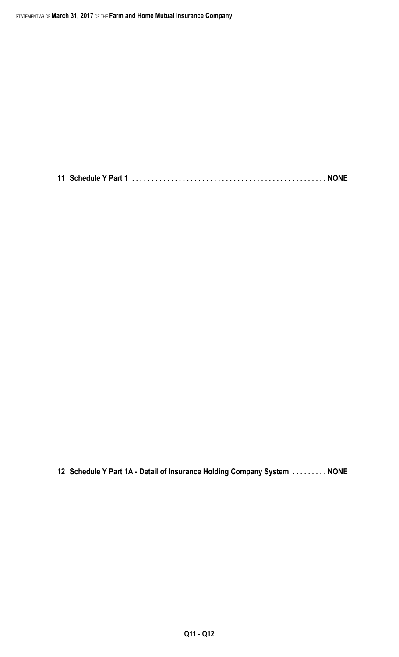**11 Schedule Y Part 1 . . . . . . . . . . . . . . . . . . . . . . . . . . . . . . . . . . . . . . . . . . . . . . . . . . NONE**

**12 Schedule Y Part 1A - Detail of Insurance Holding Company System . . . . . . . . . NONE**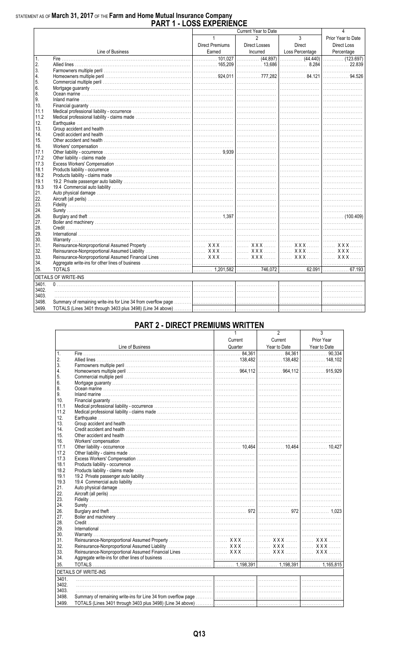# STATEMENT AS OF March 31, 2017 OF THE Farm and Home Mutual Insurance Company<br>PART 1 - LOSS EXPERIENCE

|       |                                                                                                                                                                                                                                                              |                        | Current Year to Date |                 |                                   |
|-------|--------------------------------------------------------------------------------------------------------------------------------------------------------------------------------------------------------------------------------------------------------------|------------------------|----------------------|-----------------|-----------------------------------|
|       |                                                                                                                                                                                                                                                              | $\mathbf{1}$           | $\mathfrak{p}$       | $\mathbf{3}$    | Prior Year to Date                |
|       |                                                                                                                                                                                                                                                              | <b>Direct Premiums</b> | <b>Direct Losses</b> | Direct          | <b>Direct Loss</b>                |
|       | Line of Business                                                                                                                                                                                                                                             | Earned                 | Incurred             | Loss Percentage |                                   |
| 1.    |                                                                                                                                                                                                                                                              |                        |                      |                 | Percentage<br>(123.697)<br>22.839 |
| 2.    |                                                                                                                                                                                                                                                              |                        |                      |                 |                                   |
| 3.    |                                                                                                                                                                                                                                                              |                        |                      |                 |                                   |
| 4.    |                                                                                                                                                                                                                                                              |                        |                      |                 |                                   |
| 5.    |                                                                                                                                                                                                                                                              |                        |                      |                 |                                   |
| 6.    |                                                                                                                                                                                                                                                              |                        |                      |                 |                                   |
| 8.    |                                                                                                                                                                                                                                                              |                        |                      |                 |                                   |
| 9.    |                                                                                                                                                                                                                                                              |                        |                      |                 |                                   |
| 10.   |                                                                                                                                                                                                                                                              |                        |                      |                 |                                   |
| 11.1  |                                                                                                                                                                                                                                                              |                        |                      |                 |                                   |
| 11.2  |                                                                                                                                                                                                                                                              |                        |                      |                 |                                   |
| 12.   |                                                                                                                                                                                                                                                              |                        |                      |                 |                                   |
| 13.   |                                                                                                                                                                                                                                                              |                        |                      |                 |                                   |
| 14.   |                                                                                                                                                                                                                                                              |                        |                      |                 |                                   |
| 15.   |                                                                                                                                                                                                                                                              |                        |                      |                 |                                   |
| 16.   |                                                                                                                                                                                                                                                              |                        |                      |                 |                                   |
| 17.1  |                                                                                                                                                                                                                                                              |                        |                      |                 |                                   |
| 17.2  |                                                                                                                                                                                                                                                              |                        |                      |                 |                                   |
| 17.3  |                                                                                                                                                                                                                                                              |                        |                      |                 |                                   |
| 18.1  |                                                                                                                                                                                                                                                              |                        |                      |                 |                                   |
| 18.2  |                                                                                                                                                                                                                                                              |                        |                      |                 |                                   |
| 19.1  |                                                                                                                                                                                                                                                              |                        |                      |                 |                                   |
| 19.3  |                                                                                                                                                                                                                                                              |                        |                      |                 |                                   |
| 21.   |                                                                                                                                                                                                                                                              |                        |                      |                 |                                   |
| 22.   |                                                                                                                                                                                                                                                              |                        |                      |                 |                                   |
| 23.   |                                                                                                                                                                                                                                                              |                        |                      |                 |                                   |
| 24.   |                                                                                                                                                                                                                                                              |                        |                      |                 |                                   |
| 26.   |                                                                                                                                                                                                                                                              |                        |                      |                 | $\left  \dots \right $            |
| 27.   |                                                                                                                                                                                                                                                              |                        |                      |                 |                                   |
| 28.   |                                                                                                                                                                                                                                                              |                        |                      |                 |                                   |
| 29.   |                                                                                                                                                                                                                                                              |                        |                      |                 |                                   |
| 30.   |                                                                                                                                                                                                                                                              |                        |                      |                 |                                   |
| 31.   |                                                                                                                                                                                                                                                              |                        |                      |                 |                                   |
| 32.   |                                                                                                                                                                                                                                                              |                        |                      |                 |                                   |
| 33.   |                                                                                                                                                                                                                                                              |                        |                      |                 |                                   |
| 34.   |                                                                                                                                                                                                                                                              |                        |                      |                 |                                   |
| 35.   |                                                                                                                                                                                                                                                              |                        |                      |                 |                                   |
|       | <b>DETAILS OF WRITE-INS</b><br>the control of the control of the control of the control of the control of the control of the control of the control of the control of the control of the control of the control of the control of the control of the control |                        |                      |                 |                                   |
| 3401. |                                                                                                                                                                                                                                                              |                        |                      |                 |                                   |
| 3402. |                                                                                                                                                                                                                                                              |                        |                      |                 |                                   |
| 3403. |                                                                                                                                                                                                                                                              |                        |                      |                 |                                   |
| 3498. |                                                                                                                                                                                                                                                              |                        |                      |                 |                                   |
| 3499. |                                                                                                                                                                                                                                                              |                        |                      |                 |                                   |

### **PART 2 - DIRECT PREMIUMS WRITTEN**

|                |                                                                                                                                                                                                                                |         | 2       | 3          |
|----------------|--------------------------------------------------------------------------------------------------------------------------------------------------------------------------------------------------------------------------------|---------|---------|------------|
|                |                                                                                                                                                                                                                                | Current | Current | Prior Year |
|                | Eine of Business Cuarter Vear to Date Vear to Date Vear to Date Vear to Date Vear to Date Vear to Date Vear to Date Vear to Date Vear to Date Vear to Date City of the Supermann City of the Supermann City of the Supermann C |         |         |            |
| $\mathbf{1}$ . |                                                                                                                                                                                                                                |         |         |            |
| 2.             |                                                                                                                                                                                                                                |         |         |            |
| 3.             |                                                                                                                                                                                                                                |         |         |            |
| 4.             |                                                                                                                                                                                                                                |         |         |            |
| 5.             |                                                                                                                                                                                                                                |         |         |            |
| 6.             |                                                                                                                                                                                                                                |         |         |            |
| 8.             |                                                                                                                                                                                                                                |         |         |            |
| 9.             |                                                                                                                                                                                                                                |         |         |            |
| 10.            |                                                                                                                                                                                                                                |         |         |            |
| 11.1           |                                                                                                                                                                                                                                |         |         |            |
| 11.2           |                                                                                                                                                                                                                                |         |         |            |
| 12.            |                                                                                                                                                                                                                                |         |         |            |
| 13.            |                                                                                                                                                                                                                                |         |         |            |
| 14.            |                                                                                                                                                                                                                                |         |         |            |
| 15.            |                                                                                                                                                                                                                                |         |         |            |
| 16.            |                                                                                                                                                                                                                                |         |         |            |
| 17.1           |                                                                                                                                                                                                                                |         |         |            |
| 17.2           |                                                                                                                                                                                                                                |         |         |            |
| 17.3           |                                                                                                                                                                                                                                |         |         |            |
| 18.1           |                                                                                                                                                                                                                                |         |         |            |
| 18.2           |                                                                                                                                                                                                                                |         |         |            |
| 19.1           |                                                                                                                                                                                                                                |         |         |            |
| 19.3           |                                                                                                                                                                                                                                |         |         |            |
| 21.            |                                                                                                                                                                                                                                |         |         |            |
| 22.            |                                                                                                                                                                                                                                |         |         |            |
| 23.            |                                                                                                                                                                                                                                |         |         |            |
| 24.            |                                                                                                                                                                                                                                |         |         |            |
| 26.            |                                                                                                                                                                                                                                |         |         |            |
| 27.            |                                                                                                                                                                                                                                |         |         |            |
| 28.            |                                                                                                                                                                                                                                |         |         |            |
| 29.            |                                                                                                                                                                                                                                |         |         |            |
| 30.            |                                                                                                                                                                                                                                |         |         |            |
| 31.            |                                                                                                                                                                                                                                |         |         |            |
| 32.            |                                                                                                                                                                                                                                |         |         |            |
| 33.            |                                                                                                                                                                                                                                |         |         |            |
| 34.            |                                                                                                                                                                                                                                |         |         |            |
| 35.            |                                                                                                                                                                                                                                |         |         |            |
|                | <b>DETAILS OF WRITE-INS</b><br><u> 1980 - Andrea Stadt Britain, amerikan bestean ing disebut bestean ing disebut bestean ing disebut bestean in</u>                                                                            |         |         |            |
| 3401.          |                                                                                                                                                                                                                                |         |         |            |
| 3402.          |                                                                                                                                                                                                                                |         |         |            |
| 3403.          |                                                                                                                                                                                                                                |         |         |            |
| 3498.          |                                                                                                                                                                                                                                |         |         |            |
| 3499.          |                                                                                                                                                                                                                                |         |         |            |
|                |                                                                                                                                                                                                                                |         |         |            |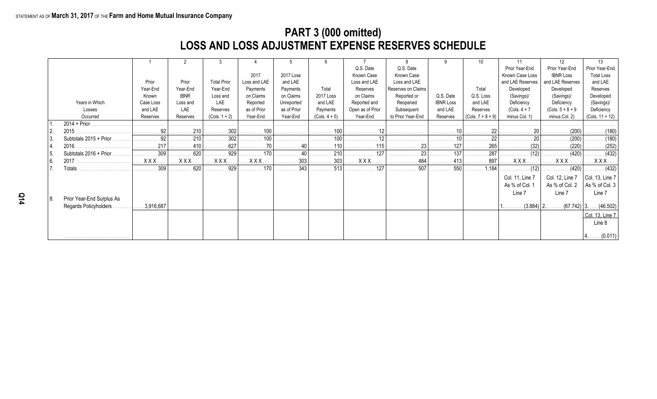## **PART 3 (000 omitted) LOSS AND LOSS ADJUSTMENT EXPENSE RESERVES SCHEDULE**

|      |                           |            |              |                    |                                  |             | 6                          |                  |                    |                            | 10                  |                  | 12                        | 13                           |
|------|---------------------------|------------|--------------|--------------------|----------------------------------|-------------|----------------------------|------------------|--------------------|----------------------------|---------------------|------------------|---------------------------|------------------------------|
|      |                           |            |              |                    |                                  |             |                            | Q.S. Date        | Q.S. Date          |                            |                     | Prior Year-End   | Prior Year-End            | Prior Year-End               |
|      |                           |            |              |                    | 2017                             | 2017 Loss   |                            | Known Case       | Known Case         |                            |                     | Known Case Loss  | <b>IBNR Loss</b>          | <b>Total Loss</b>            |
|      |                           | Prior      | Prior        | <b>Total Prior</b> | Loss and LAE                     | and LAE     |                            | Loss and LAE     | Loss and LAE       |                            |                     | and LAE Reserves | and LAE Reserves          | and LAE                      |
|      |                           | Year-End   | Year-End     | Year-End           | Payments                         | Payments    | Total                      | Reserves         | Reserves on Claims |                            | Total               | Developed        | Developed                 | Reserves                     |
|      |                           | Known      | <b>IBNR</b>  | Loss and           | on Claims                        | on Claims   | 2017 Loss                  | on Claims        | Reported or        | Q.S. Date                  | Q.S. Loss           | (Savings)/       | (Savings)/                | Developed                    |
|      | Years in Which            | Case Loss  | Loss and     | LAE                | Reported                         | Unreported  | and LAE                    | Reported and     | Reopened           | <b>IBNR Loss</b>           | and LAE             | Deficiency       | Deficiency                | (Savings)/                   |
|      | Losses                    | and LAE    | LAE          | Reserves           | as of Prior                      | as of Prior | Payments                   | Open as of Prior | Subsequent         | and LAE                    | Reserves            | $(Cols. 4 + 7)$  | $(Cols. 5 + 8 + 9)$       | Deficiency                   |
|      | Occurred                  | Reserves   | Reserves     | $(Cols. 1 + 2)$    | Year-End                         | Year-End    | $(Cols. 4 + 5)$            | Year-End         | to Prior Year-End  | Reserves                   | $(Cols. 7 + 8 + 9)$ | minus Col. 1)    | minus Col. 2)             | $(Cols. 11 + 12)$            |
|      |                           | .          | . <b>.</b> . | .                  | .                                | .           | .                          |                  |                    | .                          | .                   |                  |                           | .                            |
|      | 2015.                     | 92         | 210          | 302                | . 100                            | .           | .                          |                  |                    |                            |                     |                  | (200)                     | . (180)                      |
| l 3. | Subtotals $2015 + Prior$  | 92         | 210          | 302                | $\ldots \ldots \ldots$ 100       |             |                            |                  |                    |                            |                     |                  | (200)                     | $\ldots \ldots \ldots (180)$ |
| 4.   |                           | 217        | 410          | 627                | $\ldots \ldots \ldots \ldots$ 70 | . 40        |                            |                  | . 23 I             |                            | 265                 | . (32)           | (220)                     | . (252)                      |
| l 5. | Subtotals 2016 + Prior.   | 309        | 620          | . 929              | 170                              | 40          | 210                        | $\frac{1}{27}$   | 23 <sub>1</sub>    | $\ldots \ldots \ldots 137$ | 287                 | . (12)           | (420)                     | $\ldots \ldots \ldots (432)$ |
| l 6. |                           | $XXX$      | <b>XXX</b>   | <b>XXX</b>         | <b>XXX</b>                       | 303<br>.    | $\ldots \ldots \ldots 303$ | <b>XXX</b>       | 484<br>.           | 413                        | . 897               | <b>XXX</b>       | XXX.                      | $XXX$                        |
|      | Totals                    | 309        | 620          | 929<br>.           | . 170                            | 343         | 513                        | 127              | 507                | 550                        | $\ldots$ 1,184      | $\ldots$ (12)    |                           | $\ldots$ (432)               |
|      |                           |            |              |                    |                                  |             |                            |                  |                    |                            |                     | Col. 11, Line 7  | Col. 12, Line 7           | Col. 13, Line 7              |
|      |                           |            |              |                    |                                  |             |                            |                  |                    |                            |                     | As % of Col. 1   | As % of Col. 2            | As % of Col. 3               |
|      |                           |            |              |                    |                                  |             |                            |                  |                    |                            |                     | Line 7           | Line 7                    | Line 7                       |
| 8.   | Prior Year-End Surplus As |            |              |                    |                                  |             |                            |                  |                    |                            |                     |                  |                           |                              |
|      | Regards Policyholders     | .3,916,687 |              |                    |                                  |             |                            |                  |                    |                            |                     | $1$              | $(3.884)$   2<br>(67.742) | (46.502)                     |
|      |                           |            |              |                    |                                  |             |                            |                  |                    |                            |                     |                  |                           | Col. 13, Line 7              |
|      |                           |            |              |                    |                                  |             |                            |                  |                    |                            |                     |                  |                           | Line 8                       |
|      |                           |            |              |                    |                                  |             |                            |                  |                    |                            |                     |                  |                           |                              |
|      |                           |            |              |                    |                                  |             |                            |                  |                    |                            |                     |                  |                           | (0.011)                      |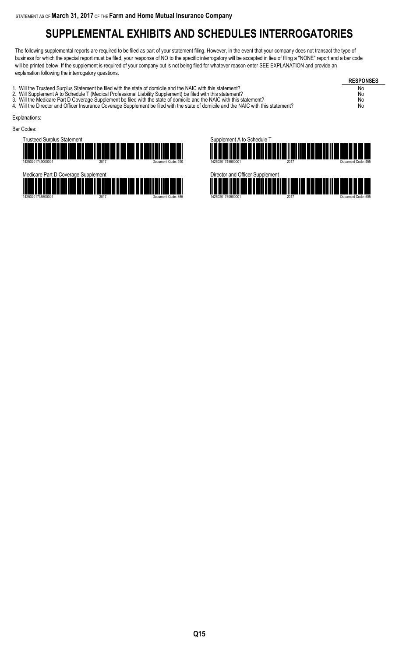# **SUPPLEMENTAL EXHIBITS AND SCHEDULES INTERROGATORIES**

The following supplemental reports are required to be filed as part of your statement filing. However, in the event that your company does not transact the type of business for which the special report must be filed, your response of NO to the specific interrogatory will be accepted in lieu of filing a "NONE" report and a bar code will be printed below. If the supplement is required of your company but is not being filed for whatever reason enter SEE EXPLANATION and provide an explanation following the interrogatory questions.

**RESPONSES** 1. Will the Trusteed Surplus Statement be filed with the state of domicile and the NAIC with this statement?<br>2. Will Supplement A to Schedule T (Medical Professional Liability Supplement) be filed with this statement? 2. Will Supplement A to Schedule T (Medical Professional Liability Supplement) be filed with this statement? No<br>2. Will the Medicare Part D Coverage Supplement be filed with the state of domicile and the NAIC with this sta 3. Will the Medicare Part D Coverage Supplement be filed with the state of domicile and the NAIC with this statement? No 4. Will the Director and Officer Insurance Coverage Supplement be filed with the state of domicile and the NAIC with this statement? No Explanations: Bar Codes:



14250201736500001 2017 Document Code: 365



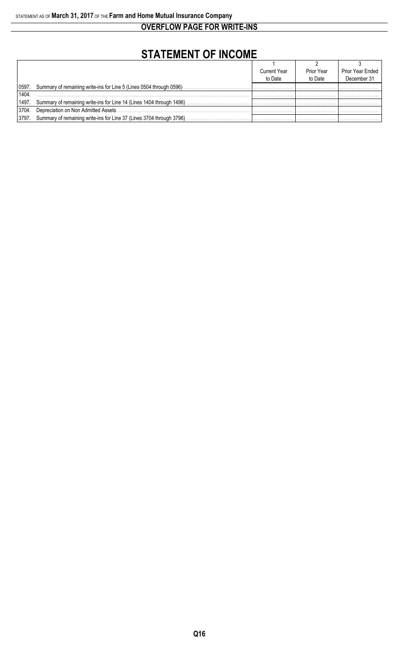**OVERFLOW PAGE FOR WRITE-INS**

# **STATEMENT OF INCOME**

|       |                                                                            | <b>Current Year</b> | Prior Year | Prior Year Ended |
|-------|----------------------------------------------------------------------------|---------------------|------------|------------------|
|       |                                                                            | to Date             | to Date    | December 31      |
| 0597. | Summary of remaining write-ins for Line 5 (Lines 0504 through 0596)        |                     |            |                  |
| 1404  |                                                                            |                     |            |                  |
|       |                                                                            |                     |            |                  |
| 3704. | Depreciation on Non Admitted Assets                                        |                     |            |                  |
|       | 3797. Summary of remaining write-ins for Line 37 (Lines 3704 through 3796) |                     |            |                  |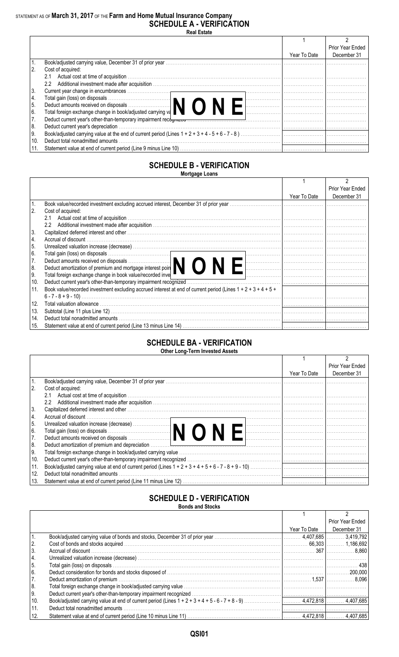# STATEMENT AS OF March 31, 2017 OF THE Farm and Home Mutual Insurance Company<br>SCHEDULE A - VERIFICATION

| <b>Real Estate</b> |
|--------------------|
|                    |

|                                                     |              | Prior Year Ended |
|-----------------------------------------------------|--------------|------------------|
|                                                     | Year To Date | December 31      |
|                                                     |              |                  |
| Cost of acquired:<br>2.                             |              |                  |
| 2.1                                                 |              |                  |
| 2.2                                                 |              |                  |
| 3.                                                  |              |                  |
| 4.                                                  |              |                  |
| 5.                                                  |              |                  |
| 6.                                                  |              |                  |
|                                                     |              |                  |
| 8.                                                  |              |                  |
| 9.                                                  |              |                  |
| Deduct total nonadmitted amounts<br>10 <sub>1</sub> |              |                  |
|                                                     |              |                  |

#### **SCHEDULE B - VERIFICATION Mortgage Loans**

|                                                                                                                                                                                                                                       |              | Prior Year Ended |
|---------------------------------------------------------------------------------------------------------------------------------------------------------------------------------------------------------------------------------------|--------------|------------------|
|                                                                                                                                                                                                                                       | Year To Date | December 31      |
|                                                                                                                                                                                                                                       |              |                  |
| <sup>2.</sup><br>Cost of acquired:                                                                                                                                                                                                    |              |                  |
| 2.1                                                                                                                                                                                                                                   |              |                  |
| $2.2^{\circ}$                                                                                                                                                                                                                         |              |                  |
| Capitalized deferred interest and other measurements are all the control of the control of the control of the control of the control of the control of the control of the control of the control of the control of the control<br>3.  |              |                  |
| Accrual of discount<br> 4.                                                                                                                                                                                                            |              |                  |
| 15.                                                                                                                                                                                                                                   |              |                  |
| Total gain (loss) on disposals<br>Deduct amounts received on disposals<br>Deduct amortization of premium and mortgage interest poin<br>16.                                                                                            |              |                  |
| 7.                                                                                                                                                                                                                                    |              |                  |
| 8.                                                                                                                                                                                                                                    |              |                  |
| Total foreign exchange change in book value/recorded inve<br>9.                                                                                                                                                                       |              |                  |
| 10.<br>Deduct current year's other-than-temporary impairment recognized                                                                                                                                                               |              |                  |
| Book value/recorded investment excluding accrued interest at end of current period (Lines $1 + 2 + 3 + 4 + 5 + 1$ )<br>  11.                                                                                                          |              |                  |
|                                                                                                                                                                                                                                       |              |                  |
| 12.<br>Total valuation allowance with the continuum control of the control of the control of the control of the control of the control of the control of the control of the control of the control of the control of the control of t |              |                  |
| 13.                                                                                                                                                                                                                                   |              |                  |
| 14.                                                                                                                                                                                                                                   |              |                  |
| 15.                                                                                                                                                                                                                                   |              |                  |

### **SCHEDULE BA - VERIFICATION**

|      | <b>UTHER LONG-TENN INVESTED ASSETS</b>                                                                                                                                                                                                                                                                                                                                                                                                                                                                             |              |                  |
|------|--------------------------------------------------------------------------------------------------------------------------------------------------------------------------------------------------------------------------------------------------------------------------------------------------------------------------------------------------------------------------------------------------------------------------------------------------------------------------------------------------------------------|--------------|------------------|
|      |                                                                                                                                                                                                                                                                                                                                                                                                                                                                                                                    |              |                  |
|      |                                                                                                                                                                                                                                                                                                                                                                                                                                                                                                                    |              | Prior Year Ended |
|      |                                                                                                                                                                                                                                                                                                                                                                                                                                                                                                                    | Year To Date | December 31      |
|      |                                                                                                                                                                                                                                                                                                                                                                                                                                                                                                                    |              |                  |
| 2.   | Cost of acquired:                                                                                                                                                                                                                                                                                                                                                                                                                                                                                                  |              |                  |
|      | 2.1                                                                                                                                                                                                                                                                                                                                                                                                                                                                                                                |              |                  |
|      | $2.2^{\circ}$                                                                                                                                                                                                                                                                                                                                                                                                                                                                                                      |              |                  |
| 3.   | Capitalized deferred interest and other measurements are all the control of the control of the control of the control of the control of the control of the control of the control of the control of the control of the control                                                                                                                                                                                                                                                                                     |              |                  |
| 4.   |                                                                                                                                                                                                                                                                                                                                                                                                                                                                                                                    |              |                  |
| I 5. |                                                                                                                                                                                                                                                                                                                                                                                                                                                                                                                    |              |                  |
| 6.   | Unrealized valuation increase (decrease)<br>Total gain (loss) on disposals<br>Deduct amounts received on disposals<br>Deduct amounts received on disposals<br>$\begin{bmatrix} \begin{bmatrix} \begin{bmatrix} 0 & 0 & 0 \\ 0 & 0 & 0 \\ 0 & 0 & 0 \\ 0 & 0 & 0 \\ 0 & 0 & 0 \\ 0 & 0 & 0 \\ 0 & 0 & 0 \\ 0 & 0 & 0 \\ 0 & 0 & 0 \\ 0 & 0 & 0 \\ 0 & 0 & 0 \\ 0 & 0 & 0 \\ 0 & 0 & 0 \\ 0 & 0 & 0 \\ 0 & 0 & 0 \\ 0 & 0 & 0 \\ 0 & 0 & 0 \\ 0 & 0 & 0 \\ 0 & 0 & 0 \\ 0 & 0 & 0 \\ 0 & 0 & 0 \\ 0 & 0 & 0 & 0 \\ $ |              |                  |
| 7.   |                                                                                                                                                                                                                                                                                                                                                                                                                                                                                                                    |              |                  |
| 8.   |                                                                                                                                                                                                                                                                                                                                                                                                                                                                                                                    |              |                  |
| I 9. |                                                                                                                                                                                                                                                                                                                                                                                                                                                                                                                    |              |                  |
| 10.  |                                                                                                                                                                                                                                                                                                                                                                                                                                                                                                                    |              |                  |
| 11.  |                                                                                                                                                                                                                                                                                                                                                                                                                                                                                                                    |              |                  |
| 12.  | Deduct total nonadmitted amounts                                                                                                                                                                                                                                                                                                                                                                                                                                                                                   |              |                  |
| 13.  |                                                                                                                                                                                                                                                                                                                                                                                                                                                                                                                    |              |                  |

### **SCHEDULE D - VERIFICATION**

**Bonds and Stocks** 

|                                        |                                                                                                                                |              | Prior Year Ended |
|----------------------------------------|--------------------------------------------------------------------------------------------------------------------------------|--------------|------------------|
|                                        |                                                                                                                                | Year To Date | December 31      |
|                                        | Book/adjusted carrying value of bonds and stocks, December 31 of prior year manufactured contract and the 407,685 [  3,419,792 |              |                  |
| $\begin{bmatrix} 2 \\ 3 \end{bmatrix}$ |                                                                                                                                |              |                  |
|                                        |                                                                                                                                |              |                  |
| 4.                                     |                                                                                                                                |              |                  |
| $\vert$ 5.                             |                                                                                                                                |              |                  |
| 6.                                     |                                                                                                                                |              |                  |
| 7.                                     |                                                                                                                                |              |                  |
| 8.                                     |                                                                                                                                |              |                  |
| 9.                                     |                                                                                                                                |              |                  |
| 10.                                    |                                                                                                                                |              |                  |
| 11.                                    | Deduct total nonadmitted amounts                                                                                               |              |                  |
| 12.                                    |                                                                                                                                |              |                  |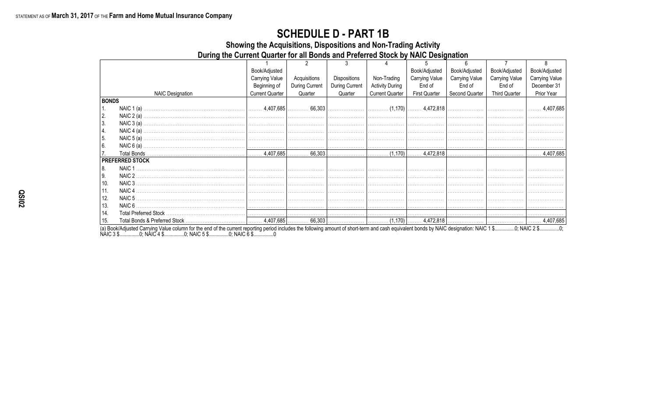### **SCHEDULE D - PART 1B**

Showing the Acquisitions, Dispositions and Non-Trading Activity

During the Current Quarter for all Bonds and Preferred Stock by NAIC Designation

|              |                         | Book/Adjusted          |                |                |                        | Book/Adjusted         | Book/Adjusted  | Book/Adjusted         | Book/Adjusted         |
|--------------|-------------------------|------------------------|----------------|----------------|------------------------|-----------------------|----------------|-----------------------|-----------------------|
|              |                         | <b>Carrying Value</b>  | Acquisitions   | Dispositions   | Non-Trading            | <b>Carrying Value</b> | Carrying Value | <b>Carrying Value</b> | <b>Carrying Value</b> |
|              |                         | Beginning of           | During Current | During Current | <b>Activity During</b> | End of                | End of         | End of                | December 31           |
|              | <b>NAIC Designation</b> | <b>Current Quarter</b> | Quarter        | Quarter        | <b>Current Quarter</b> | <b>First Quarter</b>  | Second Quarter | <b>Third Quarter</b>  | Prior Year            |
| <b>BONDS</b> |                         |                        |                |                |                        |                       |                |                       |                       |
| 1.           |                         |                        |                |                |                        |                       |                |                       |                       |
| 2.           | NAIC $2(a)$             |                        |                |                |                        |                       |                |                       |                       |
| 3.           |                         |                        |                |                |                        |                       |                |                       |                       |
| 4.           | NAIC $4(a)$             |                        |                |                |                        |                       |                |                       |                       |
| 5.           | NAIC $5(a)$ .           |                        |                |                |                        |                       |                |                       |                       |
| 6.           |                         |                        |                |                |                        |                       |                |                       |                       |
|              |                         |                        |                |                |                        |                       |                |                       |                       |
|              | <b>PREFERRED STOCK</b>  |                        |                |                |                        |                       |                |                       |                       |
| 8.           | NAIC 1                  |                        |                |                |                        |                       |                |                       |                       |
| 9.           |                         |                        |                |                |                        |                       |                |                       |                       |
| 10.          | NAIC 3                  |                        |                |                |                        |                       |                |                       |                       |
| 11.          | NAIC <sub>4</sub>       |                        |                |                |                        |                       |                |                       |                       |
| 12.          | NAIC 5                  |                        |                |                |                        |                       |                |                       |                       |
| 13.          | NAIC 6.                 |                        |                |                |                        |                       |                |                       |                       |
| 14.          |                         |                        |                |                |                        |                       |                |                       |                       |
| 15.          |                         |                        |                |                |                        |                       |                |                       |                       |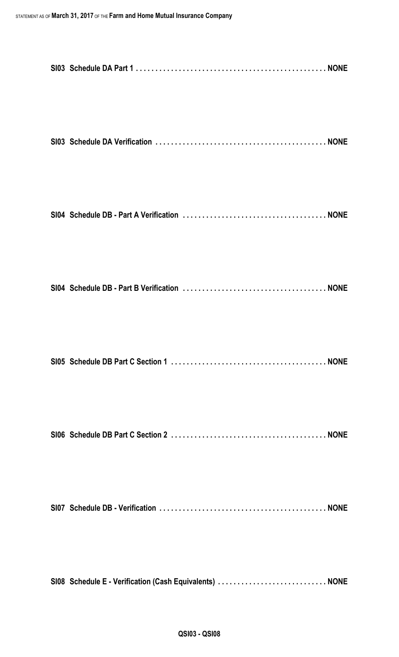| SI08 Schedule E - Verification (Cash Equivalents)  NONE |
|---------------------------------------------------------|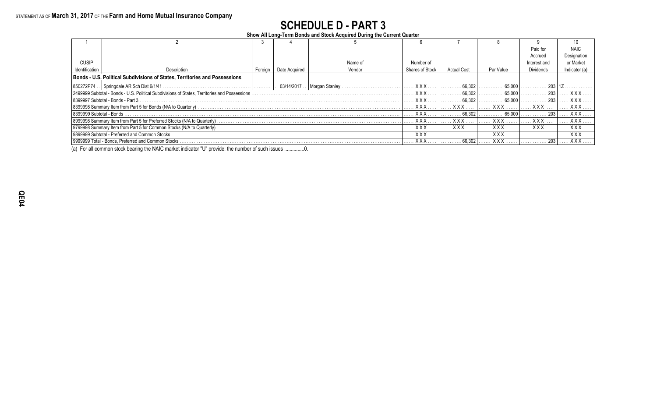# **SCHEDULE D - PART 3**

**Show All Long-Term Bonds and Stock Acquired During the Current Quarter**

|                          |                                                                                                |         |                                             |         |                        |                    |             | Paid for     | <b>NAIC</b>   |
|--------------------------|------------------------------------------------------------------------------------------------|---------|---------------------------------------------|---------|------------------------|--------------------|-------------|--------------|---------------|
|                          |                                                                                                |         |                                             |         |                        |                    |             | Accrued      | Designation   |
| <b>CUSIP</b>             |                                                                                                |         |                                             | Name of | Number of              |                    |             | Interest and | or Market     |
| Identification           | Description                                                                                    | Foreign | Date Acquired                               | Vendor  | <b>Shares of Stock</b> | <b>Actual Cost</b> | Par Value   | Dividends    | Indicator (a) |
|                          | Bonds - U.S. Political Subdivisions of States, Territories and Possessions                     |         |                                             |         |                        |                    |             |              |               |
| 850272P74                |                                                                                                |         | $\ldots$ 03/14/2017 $\ldots$ Morgan Stanley |         | $ $ $XXX$              | 66,302             | 65.000      |              |               |
|                          | 2499999 Subtotal - Bonds - U.S. Political Subdivisions of States, Territories and Possessions. |         |                                             |         | <b>XXX</b>             | 66.302             | 65.000      | 203          | <b>XXX</b>    |
|                          | 8399997 Subtotal - Bonds - Part 3                                                              |         |                                             |         | <b>XXX</b>             | 66.302             | 65.000      | 203          | <b>XXX</b>    |
|                          | 8399998 Summary Item from Part 5 for Bonds (N/A to Quarterly).                                 |         |                                             |         | <b>XXX</b>             | <b>XXX</b>         | <b>XXX</b>  | <b>XXX</b>   | <b>XXX</b>    |
| 8399999 Subtotal - Bonds |                                                                                                |         |                                             |         | <b>XXX</b>             | 66.302             | 65,000      | 203          | <b>XXX</b>    |
|                          | 8999998 Summary Item from Part 5 for Preferred Stocks (N/A to Quarterly).                      |         |                                             |         | <b>XXX</b>             | xxx                | $X$ $X$ $X$ | <b>XXX</b>   | <b>XXX</b>    |
|                          |                                                                                                |         |                                             |         | <b>XXX</b>             | <b>XXX</b>         | <b>XXX</b>  | <b>XXX</b>   | <b>XXX</b>    |
|                          | 9899999 Subtotal - Preferred and Common Stocks.                                                |         |                                             |         |                        |                    | <b>XXX</b>  |              | XXX.          |
|                          | 19999999 Total - Bonds, Preferred and Common Stocks                                            |         |                                             |         | <b>XXX</b>             | 66.302             | <b>XXX</b>  | 203          | <b>XXX</b>    |

(a) For all common stock bearing the NAIC market indicator "U" provide: the number of such issues ...............0.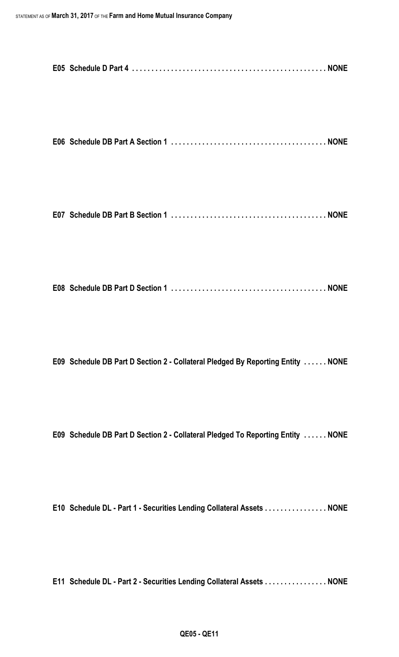|--|--|--|--|--|--|

```
E07 Schedule DB Part B Section 1 . . . . . . . . . . . . . . . . . . . . . . . . . . . . . . . . . . . . . . . . NONE
```

|--|--|--|

**E09 Schedule DB Part D Section 2 - Collateral Pledged By Reporting Entity . . . . . . NONE**

**E09 Schedule DB Part D Section 2 - Collateral Pledged To Reporting Entity . . . . . . NONE**

**E10 Schedule DL - Part 1 - Securities Lending Collateral Assets . . . . . . . . . . . . . . . . NONE**

**E11 Schedule DL - Part 2 - Securities Lending Collateral Assets . . . . . . . . . . . . . . . . NONE**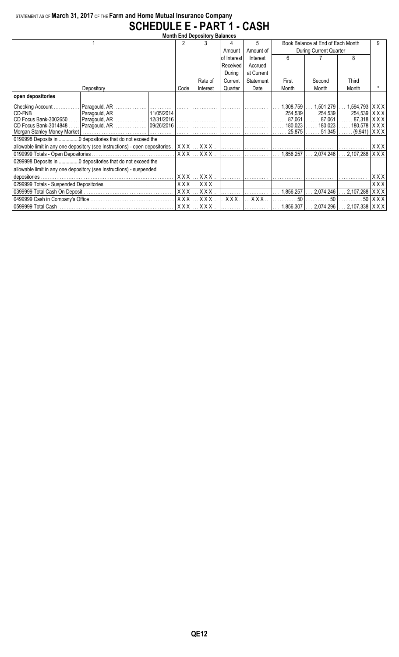### STATEMENT AS OF **March 31, 2017** OF THE **Farm and Home Mutual Insurance Company SCHEDULE E - PART 1 - CASH**

| <b>Month End Depository Balances</b> |                                                                              |            |               |             |             |                    |                                       |                                          |       |  |
|--------------------------------------|------------------------------------------------------------------------------|------------|---------------|-------------|-------------|--------------------|---------------------------------------|------------------------------------------|-------|--|
|                                      |                                                                              | 2          |               |             | 5           |                    | Book Balance at End of Each Month     |                                          |       |  |
|                                      |                                                                              |            |               | Amount      | Amount of   |                    | During Current Quarter                |                                          |       |  |
|                                      |                                                                              |            |               | of Interest | Interest    | ĥ                  |                                       | 8                                        |       |  |
|                                      |                                                                              |            |               | Received    | Accrued     |                    |                                       |                                          |       |  |
|                                      |                                                                              |            |               | During      | at Current  |                    |                                       |                                          |       |  |
|                                      |                                                                              |            | Rate of       | Current     | Statement   | First              | Second                                | Third                                    |       |  |
|                                      | Depository                                                                   | Code       | Interest      | Quarter     | Date        | Month              | Month                                 | Month                                    |       |  |
| open depositories                    |                                                                              |            |               |             |             |                    |                                       |                                          |       |  |
| Checking Account                     |                                                                              |            |               |             |             | 1,308,759          | $\ldots 1,501,279$                    | $\ldots$ 1,594,793 $\vert$ X X X $\vert$ |       |  |
| CD-FNB                               |                                                                              |            |               |             |             |                    | . 254,539   254,539   254,539   X X X |                                          |       |  |
| CD Focus Bank-3002650                | Paragould, AR    12/31/2016                                                  |            |               |             |             |                    |                                       |                                          |       |  |
| CD Focus Bank-3014848                | Paragould, AR    09/26/2016                                                  | .          |               |             |             | 180.023            | $\ldots$ . 180,023 $\ldots$           | 180,578   X X X                          |       |  |
|                                      |                                                                              | .          |               |             |             | 25,875             | 51,345                                | . (9,941)   X X X                        |       |  |
|                                      | 0199998 Deposits in  0 depositories that do not exceed the                   |            |               |             |             |                    |                                       |                                          |       |  |
|                                      | allowable limit in any one depository (see Instructions) - open depositories |            | $XXX$ $XXX$   |             |             |                    |                                       |                                          | XXX   |  |
|                                      |                                                                              | XXX        | $.$ X X X $.$ |             |             | 1,856,257          | 2.074.246                             | 2,107,288                                | XXX   |  |
|                                      | 0299998 Deposits in 0 depositories that do not exceed the                    |            |               |             |             |                    |                                       |                                          |       |  |
|                                      | allowable limit in any one depository (see Instructions) - suspended         |            |               |             |             |                    |                                       |                                          |       |  |
| depositories.                        |                                                                              |            | $XXX$<br>XXX  |             |             | . 1                |                                       |                                          | X X X |  |
|                                      |                                                                              |            | XXX.<br>XXX   |             | .           | .                  | .                                     |                                          | XXX   |  |
|                                      | XXX                                                                          | XXX.       |               |             | $1,856,257$ | $\ldots$ 2,074,246 | $\ldots$ 2,107,288                    | XXX                                      |       |  |
|                                      |                                                                              | <b>XXX</b> | XXX.          | XXX.        | $XXX$       | 50                 | 50                                    | 50 <sub>1</sub>                          | XXX   |  |
|                                      |                                                                              |            |               |             |             |                    |                                       |                                          |       |  |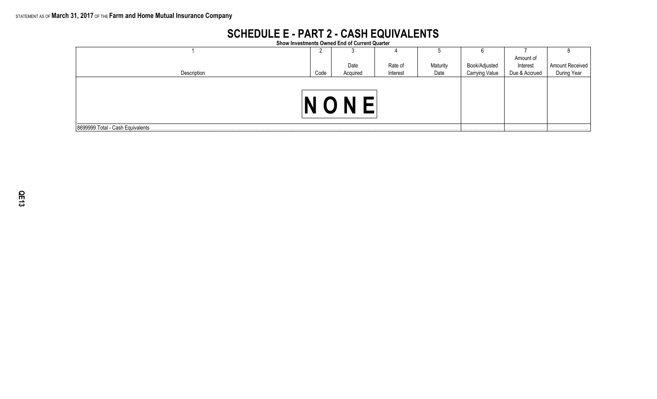### **SCHEDULE E - PART 2 - CASH EQUIVALENTS Show Investments Owned End of Current Quarter**

| Show investments Owned End of Current Quarter |      |          |          |          |                       |               |                 |  |
|-----------------------------------------------|------|----------|----------|----------|-----------------------|---------------|-----------------|--|
|                                               |      |          | 4        | ◡        |                       |               |                 |  |
|                                               |      |          |          |          |                       | Amount of     |                 |  |
|                                               |      | Date     | Rate of  | Maturity | Book/Adjusted         | Interest      | Amount Received |  |
| Description                                   | Code | Acquired | Interest | Date     | <b>Carrying Value</b> | Due & Accrued | During Year     |  |
| N                                             |      |          |          |          |                       |               |                 |  |
| 8699999 Total - Cash Equivalents.             |      |          |          |          |                       | .             |                 |  |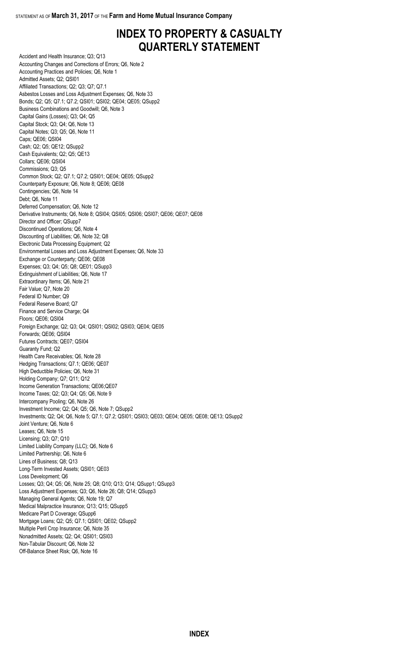# **INDEX TO PROPERTY & CASUALTY QUARTERLY STATEMENT**

Accident and Health Insurance; Q3; Q13 Accounting Changes and Corrections of Errors; Q6, Note 2 Accounting Practices and Policies; Q6, Note 1 Admitted Assets; Q2; QSI01 Affiliated Transactions; Q2; Q3; Q7; Q7.1 Asbestos Losses and Loss Adjustment Expenses; Q6, Note 33 Bonds; Q2; Q5; Q7.1; Q7.2; QSI01; QSI02; QE04; QE05; QSupp2 Business Combinations and Goodwill; Q6, Note 3 Capital Gains (Losses); Q3; Q4; Q5 Capital Stock; Q3; Q4; Q6, Note 13 Capital Notes; Q3; Q5; Q6, Note 11 Caps; QE06; QSI04 Cash; Q2; Q5; QE12; QSupp2 Cash Equivalents; Q2; Q5; QE13 Collars; QE06; QSI04 Commissions; Q3; Q5 Common Stock; Q2; Q7.1; Q7.2; QSI01; QE04; QE05; QSupp2 Counterparty Exposure; Q6, Note 8; QE06; QE08 Contingencies; Q6, Note 14 Debt; Q6, Note 11 Deferred Compensation; Q6, Note 12 Derivative Instruments; Q6, Note 8; QSI04; QSI05; QSI06; QSI07; QE06; QE07; QE08 Director and Officer; QSupp7 Discontinued Operations; Q6, Note 4 Discounting of Liabilities; Q6, Note 32; Q8 Electronic Data Processing Equipment; Q2 Environmental Losses and Loss Adjustment Expenses; Q6, Note 33 Exchange or Counterparty; QE06; QE08 Expenses; Q3; Q4; Q5; Q8; QE01; QSupp3 Extinguishment of Liabilities; Q6, Note 17 Extraordinary Items; Q6, Note 21 Fair Value; Q7, Note 20 Federal ID Number; Q9 Federal Reserve Board; Q7 Finance and Service Charge; Q4 Floors; QE06; QSI04 Foreign Exchange; Q2; Q3; Q4; QSI01; QSI02; QSI03; QE04; QE05 Forwards; QE06; QSI04 Futures Contracts; QE07; QSI04 Guaranty Fund; Q2 Health Care Receivables; Q6, Note 28 Hedging Transactions; Q7.1; QE06; QE07 High Deductible Policies; Q6, Note 31 Holding Company; Q7; Q11; Q12 Income Generation Transactions; QE06;QE07 Income Taxes; Q2; Q3; Q4; Q5; Q6, Note 9 Intercompany Pooling; Q6, Note 26 Investment Income; Q2; Q4; Q5; Q6, Note 7; QSupp2 Investments; Q2; Q4; Q6, Note 5; Q7.1; Q7.2; QSI01; QSI03; QE03; QE04; QE05; QE08; QE13; QSupp2 Joint Venture; Q6, Note 6 Leases; Q6, Note 15 Licensing; Q3; Q7; Q10 Limited Liability Company (LLC); Q6, Note 6 Limited Partnership; Q6, Note 6 Lines of Business; Q8; Q13 Long-Term Invested Assets; QSI01; QE03 Loss Development; Q6 Losses; Q3; Q4; Q5; Q6, Note 25; Q8; Q10; Q13; Q14; QSupp1; QSupp3 Loss Adjustment Expenses; Q3; Q6, Note 26; Q8; Q14; QSupp3 Managing General Agents; Q6, Note 19; Q7 Medical Malpractice Insurance; Q13; Q15; QSupp5 Medicare Part D Coverage; QSupp6 Mortgage Loans; Q2; Q5; Q7.1; QSI01; QE02; QSupp2 Multiple Peril Crop Insurance; Q6, Note 35 Nonadmitted Assets; Q2; Q4; QSI01; QSI03 Non-Tabular Discount; Q6, Note 32 Off-Balance Sheet Risk; Q6, Note 16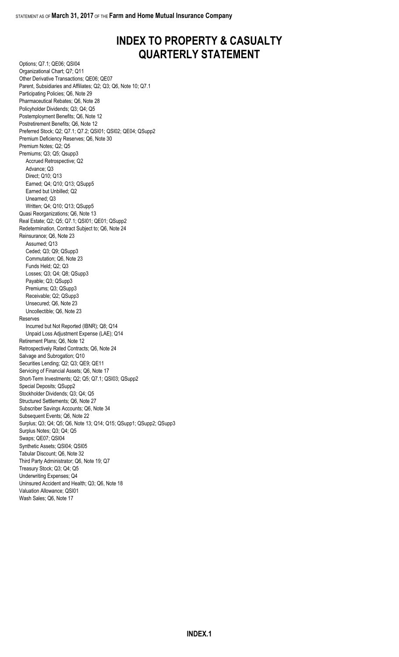## **INDEX TO PROPERTY & CASUALTY QUARTERLY STATEMENT**

Options; Q7.1; QE06; QSI04 Organizational Chart; Q7; Q11 Other Derivative Transactions; QE06; QE07 Parent, Subsidiaries and Affiliates; Q2; Q3; Q6, Note 10; Q7.1 Participating Policies; Q6, Note 29 Pharmaceutical Rebates; Q6, Note 28 Policyholder Dividends; Q3; Q4; Q5 Postemployment Benefits; Q6, Note 12 Postretirement Benefits; Q6, Note 12 Preferred Stock; Q2; Q7.1; Q7.2; QSI01; QSI02; QE04; QSupp2 Premium Deficiency Reserves; Q6, Note 30 Premium Notes; Q2; Q5 Premiums; Q3; Q5; Qsupp3 Accrued Retrospective; Q2 Advance; Q3 Direct; Q10; Q13 Earned; Q4; Q10; Q13; QSupp5 Earned but Unbilled; Q2 Unearned; Q3 Written; Q4; Q10; Q13; QSupp5 Quasi Reorganizations; Q6, Note 13 Real Estate; Q2; Q5; Q7.1; QSI01; QE01; QSupp2 Redetermination, Contract Subject to; Q6, Note 24 Reinsurance; Q6, Note 23 Assumed; Q13 Ceded; Q3; Q9; QSupp3 Commutation; Q6, Note 23 Funds Held; Q2; Q3 Losses; Q3; Q4; Q8; QSupp3 Payable; Q3; QSupp3 Premiums; Q3; QSupp3 Receivable; Q2; QSupp3 Unsecured; Q6, Note 23 Uncollectible; Q6, Note 23 Reserves Incurred but Not Reported (IBNR); Q8; Q14 Unpaid Loss Adjustment Expense (LAE); Q14 Retirement Plans; Q6, Note 12 Retrospectively Rated Contracts; Q6, Note 24 Salvage and Subrogation; Q10 Securities Lending; Q2; Q3; QE9; QE11 Servicing of Financial Assets; Q6, Note 17 Short-Term Investments; Q2; Q5; Q7.1; QSI03; QSupp2 Special Deposits; QSupp2 Stockholder Dividends; Q3; Q4; Q5 Structured Settlements; Q6, Note 27 Subscriber Savings Accounts; Q6, Note 34 Subsequent Events; Q6, Note 22 Surplus; Q3; Q4; Q5; Q6, Note 13; Q14; Q15; QSupp1; QSupp2; QSupp3 Surplus Notes; Q3; Q4; Q5 Swaps; QE07; QSI04 Synthetic Assets; QSI04; QSI05 Tabular Discount; Q6, Note 32 Third Party Administrator; Q6, Note 19; Q7 Treasury Stock; Q3; Q4; Q5 Underwriting Expenses; Q4 Uninsured Accident and Health; Q3; Q6, Note 18 Valuation Allowance; QSI01 Wash Sales; Q6, Note 17